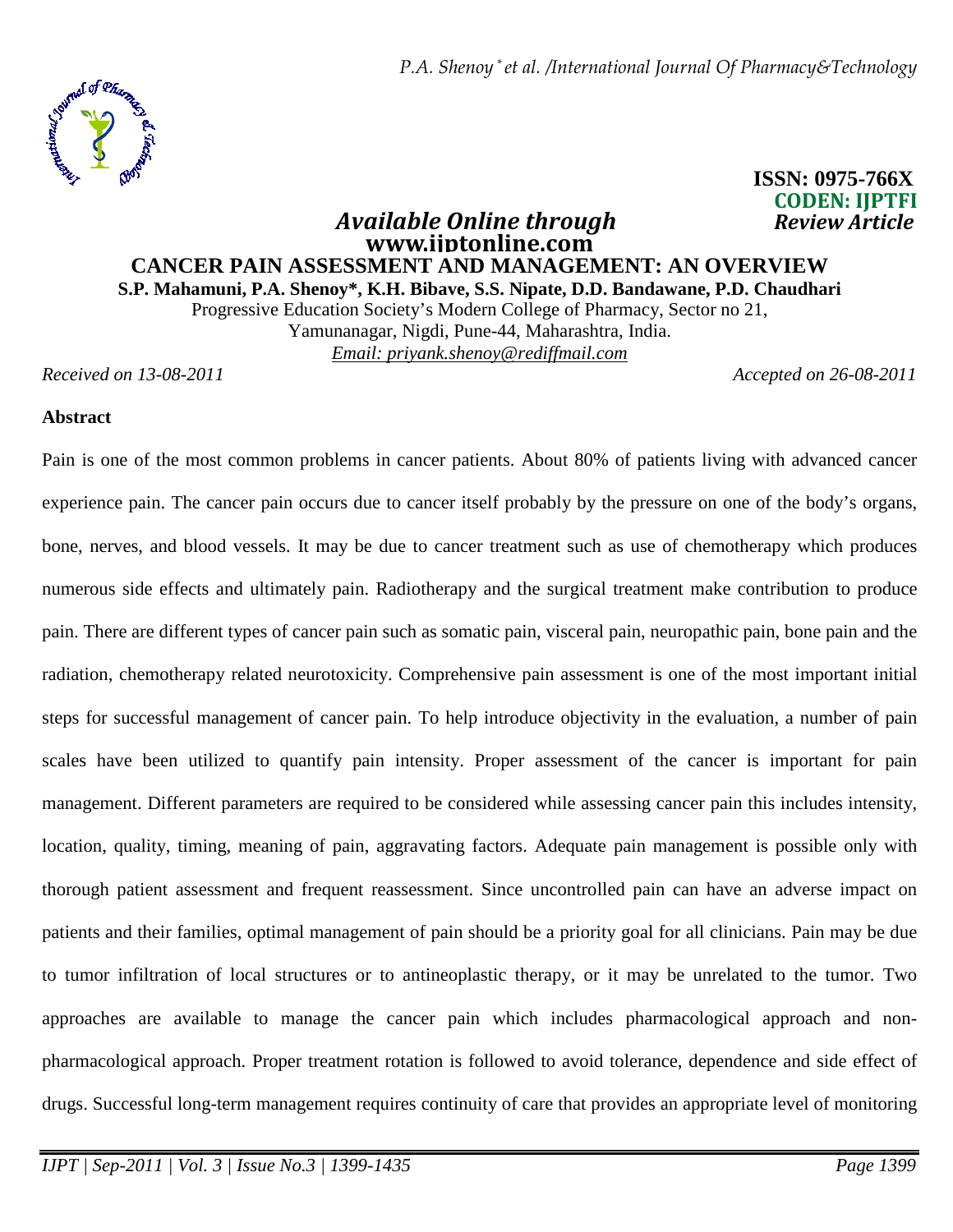

# **CODEN: IJPTFI**  *Available Online through* **www.ijptonline.com CANCER PAIN ASSESSMENT AND MANAGEMENT: AN OVERVIEW S.P. Mahamuni, P.A. Shenoy\*, K.H. Bibave, S.S. Nipate, D.D. Bandawane, P.D. Chaudhari**

Progressive Education Society's Modern College of Pharmacy, Sector no 21, Yamunanagar, Nigdi, Pune-44, Maharashtra, India.

*Email: priyank.shenoy@rediffmail.com*

*Received on 13-08-2011 Accepted on 26-08-2011*

 **ISSN: 0975-766X**

#### **Abstract**

Pain is one of the most common problems in cancer patients. About 80% of patients living with advanced cancer experience pain. The cancer pain occurs due to cancer itself probably by the pressure on one of the body's organs, bone, nerves, and blood vessels. It may be due to cancer treatment such as use of chemotherapy which produces numerous side effects and ultimately pain. Radiotherapy and the surgical treatment make contribution to produce pain. There are different types of cancer pain such as somatic pain, visceral pain, neuropathic pain, bone pain and the radiation, chemotherapy related neurotoxicity. Comprehensive pain assessment is one of the most important initial steps for successful management of cancer pain. To help introduce objectivity in the evaluation, a number of pain scales have been utilized to quantify pain intensity. Proper assessment of the cancer is important for pain management. Different parameters are required to be considered while assessing cancer pain this includes intensity, location, quality, timing, meaning of pain, aggravating factors. Adequate pain management is possible only with thorough patient assessment and frequent reassessment. Since uncontrolled pain can have an adverse impact on patients and their families, optimal management of pain should be a priority goal for all clinicians. Pain may be due to tumor infiltration of local structures or to antineoplastic therapy, or it may be unrelated to the tumor. Two approaches are available to manage the cancer pain which includes pharmacological approach and nonpharmacological approach. Proper treatment rotation is followed to avoid tolerance, dependence and side effect of drugs. Successful long-term management requires continuity of care that provides an appropriate level of monitoring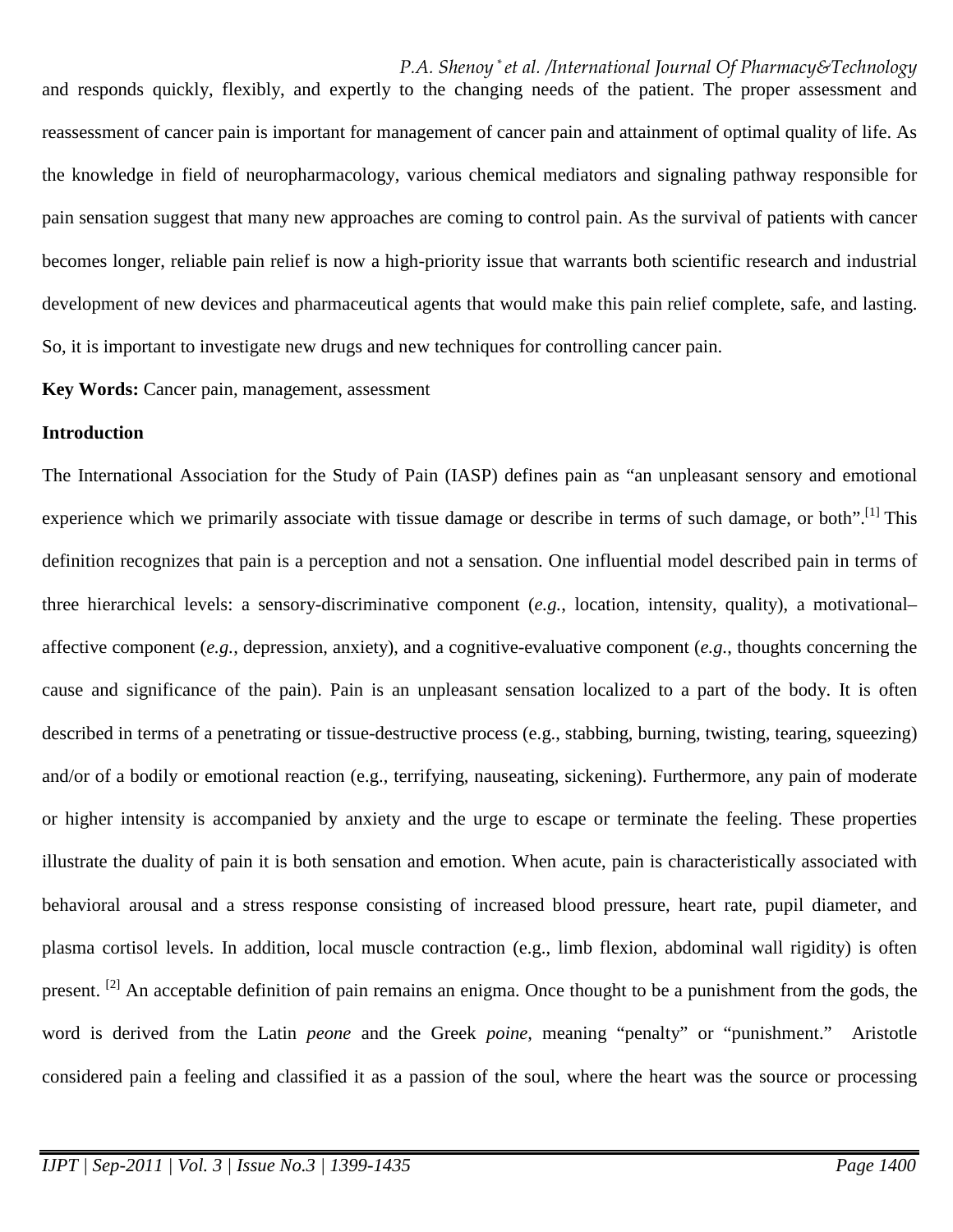*P.A. Shenoy \* et al. /International Journal Of Pharmacy&Technology* and responds quickly, flexibly, and expertly to the changing needs of the patient. The proper assessment and reassessment of cancer pain is important for management of cancer pain and attainment of optimal quality of life. As the knowledge in field of neuropharmacology, various chemical mediators and signaling pathway responsible for pain sensation suggest that many new approaches are coming to control pain. As the survival of patients with cancer becomes longer, reliable pain relief is now a high-priority issue that warrants both scientific research and industrial development of new devices and pharmaceutical agents that would make this pain relief complete, safe, and lasting. So, it is important to investigate new drugs and new techniques for controlling cancer pain.

**Key Words:** Cancer pain, management, assessment

#### **Introduction**

The International Association for the Study of Pain (IASP) defines pain as "an unpleasant sensory and emotional experience which we primarily associate with tissue damage or describe in terms of such damage, or both".<sup>[1]</sup> This definition recognizes that pain is a perception and not a sensation. One influential model described pain in terms of three hierarchical levels: a sensory-discriminative component (*e.g.*, location, intensity, quality), a motivational– affective component (*e.g.*, depression, anxiety), and a cognitive-evaluative component (*e.g.*, thoughts concerning the cause and significance of the pain). Pain is an unpleasant sensation localized to a part of the body. It is often described in terms of a penetrating or tissue-destructive process (e.g., stabbing, burning, twisting, tearing, squeezing) and/or of a bodily or emotional reaction (e.g., terrifying, nauseating, sickening). Furthermore, any pain of moderate or higher intensity is accompanied by anxiety and the urge to escape or terminate the feeling. These properties illustrate the duality of pain it is both sensation and emotion. When acute, pain is characteristically associated with behavioral arousal and a stress response consisting of increased blood pressure, heart rate, pupil diameter, and plasma cortisol levels. In addition, local muscle contraction (e.g., limb flexion, abdominal wall rigidity) is often present. <sup>[2]</sup> An acceptable definition of pain remains an enigma. Once thought to be a punishment from the gods, the word is derived from the Latin *peone* and the Greek *poine,* meaning "penalty" or "punishment." Aristotle considered pain a feeling and classified it as a passion of the soul, where the heart was the source or processing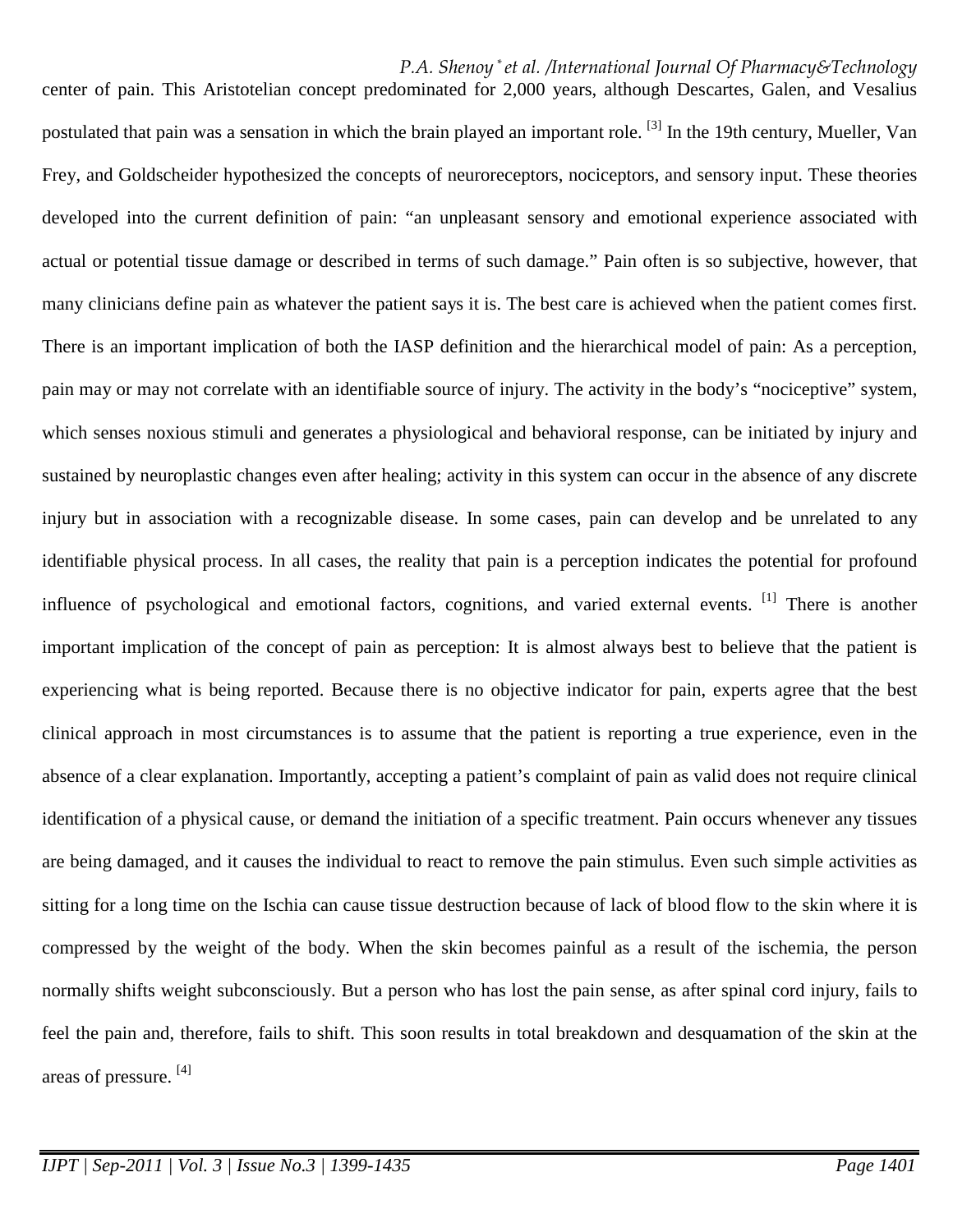# *P.A. Shenoy \* et al. /International Journal Of Pharmacy&Technology* center of pain. This Aristotelian concept predominated for 2,000 years, although Descartes, Galen, and Vesalius postulated that pain was a sensation in which the brain played an important role. [3] In the 19th century, Mueller, Van Frey, and Goldscheider hypothesized the concepts of neuroreceptors, nociceptors, and sensory input. These theories developed into the current definition of pain: "an unpleasant sensory and emotional experience associated with actual or potential tissue damage or described in terms of such damage." Pain often is so subjective, however, that many clinicians define pain as whatever the patient says it is. The best care is achieved when the patient comes first. There is an important implication of both the IASP definition and the hierarchical model of pain: As a perception, pain may or may not correlate with an identifiable source of injury. The activity in the body's "nociceptive" system, which senses noxious stimuli and generates a physiological and behavioral response, can be initiated by injury and sustained by neuroplastic changes even after healing; activity in this system can occur in the absence of any discrete injury but in association with a recognizable disease. In some cases, pain can develop and be unrelated to any identifiable physical process. In all cases, the reality that pain is a perception indicates the potential for profound influence of psychological and emotional factors, cognitions, and varied external events. [1] There is another important implication of the concept of pain as perception: It is almost always best to believe that the patient is experiencing what is being reported. Because there is no objective indicator for pain, experts agree that the best clinical approach in most circumstances is to assume that the patient is reporting a true experience, even in the absence of a clear explanation. Importantly, accepting a patient's complaint of pain as valid does not require clinical identification of a physical cause, or demand the initiation of a specific treatment. Pain occurs whenever any tissues are being damaged, and it causes the individual to react to remove the pain stimulus. Even such simple activities as sitting for a long time on the Ischia can cause tissue destruction because of lack of blood flow to the skin where it is compressed by the weight of the body. When the skin becomes painful as a result of the ischemia, the person normally shifts weight subconsciously. But a person who has lost the pain sense, as after spinal cord injury, fails to feel the pain and, therefore, fails to shift. This soon results in total breakdown and desquamation of the skin at the areas of pressure. [4]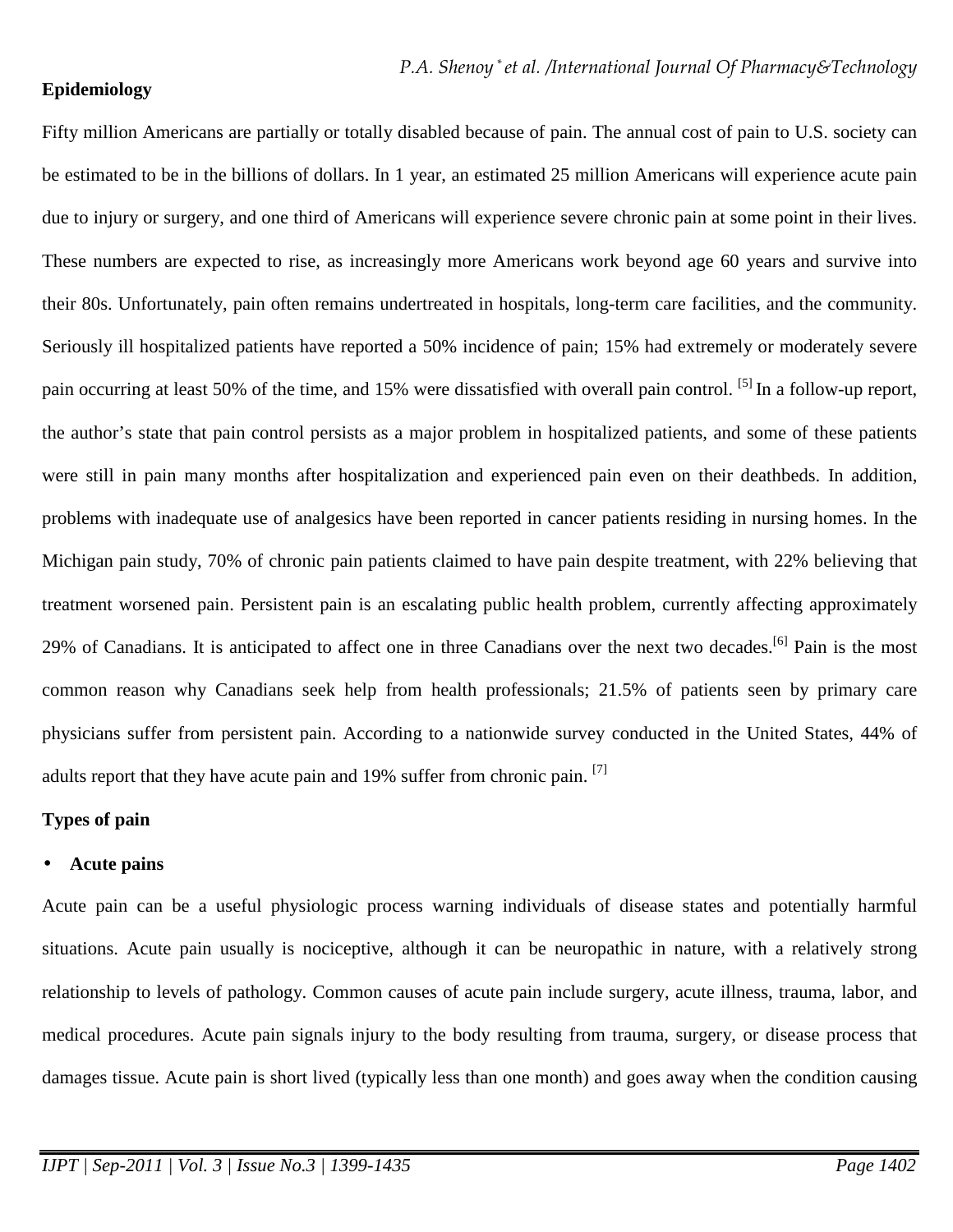## **Epidemiology**

Fifty million Americans are partially or totally disabled because of pain. The annual cost of pain to U.S. society can be estimated to be in the billions of dollars. In 1 year, an estimated 25 million Americans will experience acute pain due to injury or surgery, and one third of Americans will experience severe chronic pain at some point in their lives. These numbers are expected to rise, as increasingly more Americans work beyond age 60 years and survive into their 80s. Unfortunately, pain often remains undertreated in hospitals, long-term care facilities, and the community. Seriously ill hospitalized patients have reported a 50% incidence of pain; 15% had extremely or moderately severe pain occurring at least 50% of the time, and 15% were dissatisfied with overall pain control. [5] In a follow-up report, the author's state that pain control persists as a major problem in hospitalized patients, and some of these patients were still in pain many months after hospitalization and experienced pain even on their deathbeds. In addition, problems with inadequate use of analgesics have been reported in cancer patients residing in nursing homes. In the Michigan pain study, 70% of chronic pain patients claimed to have pain despite treatment, with 22% believing that treatment worsened pain. Persistent pain is an escalating public health problem, currently affecting approximately 29% of Canadians. It is anticipated to affect one in three Canadians over the next two decades.<sup>[6]</sup> Pain is the most common reason why Canadians seek help from health professionals; 21.5% of patients seen by primary care physicians suffer from persistent pain. According to a nationwide survey conducted in the United States, 44% of adults report that they have acute pain and 19% suffer from chronic pain.  $^{[7]}$ 

## **Types of pain**

## • **Acute pains**

Acute pain can be a useful physiologic process warning individuals of disease states and potentially harmful situations. Acute pain usually is nociceptive, although it can be neuropathic in nature, with a relatively strong relationship to levels of pathology. Common causes of acute pain include surgery, acute illness, trauma, labor, and medical procedures. Acute pain signals injury to the body resulting from trauma, surgery, or disease process that damages tissue. Acute pain is short lived (typically less than one month) and goes away when the condition causing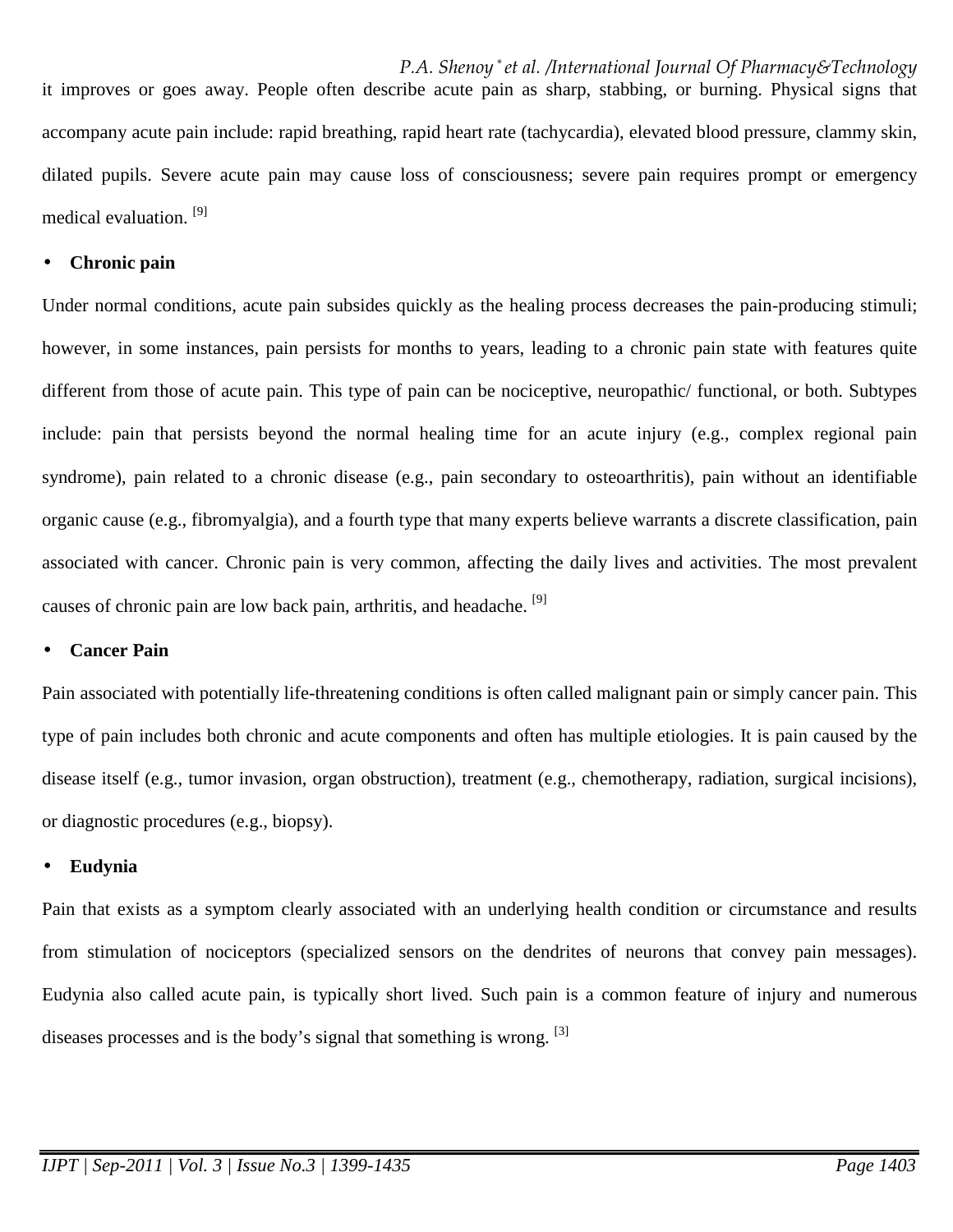*P.A. Shenoy \* et al. /International Journal Of Pharmacy&Technology* it improves or goes away. People often describe acute pain as sharp, stabbing, or burning. Physical signs that accompany acute pain include: rapid breathing, rapid heart rate (tachycardia), elevated blood pressure, clammy skin, dilated pupils. Severe acute pain may cause loss of consciousness; severe pain requires prompt or emergency medical evaluation. [9]

#### • **Chronic pain**

Under normal conditions, acute pain subsides quickly as the healing process decreases the pain-producing stimuli; however, in some instances, pain persists for months to years, leading to a chronic pain state with features quite different from those of acute pain. This type of pain can be nociceptive, neuropathic/ functional, or both. Subtypes include: pain that persists beyond the normal healing time for an acute injury (e.g., complex regional pain syndrome), pain related to a chronic disease (e.g., pain secondary to osteoarthritis), pain without an identifiable organic cause (e.g., fibromyalgia), and a fourth type that many experts believe warrants a discrete classification, pain associated with cancer. Chronic pain is very common, affecting the daily lives and activities. The most prevalent causes of chronic pain are low back pain, arthritis, and headache. <sup>[9]</sup>

#### • **Cancer Pain**

Pain associated with potentially life-threatening conditions is often called malignant pain or simply cancer pain. This type of pain includes both chronic and acute components and often has multiple etiologies. It is pain caused by the disease itself (e.g., tumor invasion, organ obstruction), treatment (e.g., chemotherapy, radiation, surgical incisions), or diagnostic procedures (e.g., biopsy).

#### • **Eudynia**

Pain that exists as a symptom clearly associated with an underlying health condition or circumstance and results from stimulation of nociceptors (specialized sensors on the dendrites of neurons that convey pain messages). Eudynia also called acute pain, is typically short lived. Such pain is a common feature of injury and numerous diseases processes and is the body's signal that something is wrong. <sup>[3]</sup>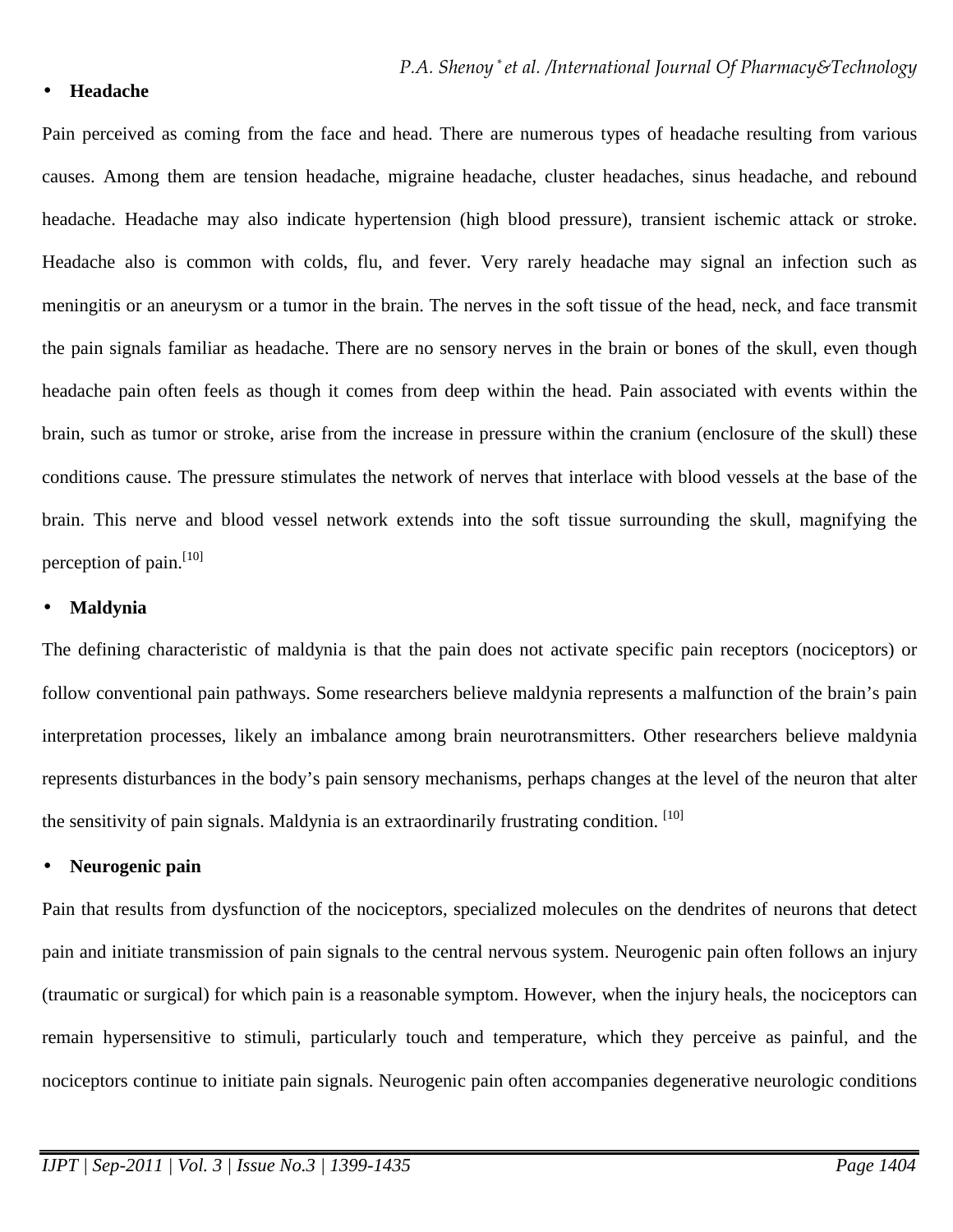#### • **Headache**

Pain perceived as coming from the face and head. There are numerous types of headache resulting from various causes. Among them are tension headache, migraine headache, cluster headaches, sinus headache, and rebound headache. Headache may also indicate hypertension (high blood pressure), transient ischemic attack or stroke. Headache also is common with colds, flu, and fever. Very rarely headache may signal an infection such as meningitis or an aneurysm or a tumor in the brain. The nerves in the soft tissue of the head, neck, and face transmit the pain signals familiar as headache. There are no sensory nerves in the brain or bones of the skull, even though headache pain often feels as though it comes from deep within the head. Pain associated with events within the brain, such as tumor or stroke, arise from the increase in pressure within the cranium (enclosure of the skull) these conditions cause. The pressure stimulates the network of nerves that interlace with blood vessels at the base of the brain. This nerve and blood vessel network extends into the soft tissue surrounding the skull, magnifying the perception of pain.<sup>[10]</sup>

#### • **Maldynia**

The defining characteristic of maldynia is that the pain does not activate specific pain receptors (nociceptors) or follow conventional pain pathways. Some researchers believe maldynia represents a malfunction of the brain's pain interpretation processes, likely an imbalance among brain neurotransmitters. Other researchers believe maldynia represents disturbances in the body's pain sensory mechanisms, perhaps changes at the level of the neuron that alter the sensitivity of pain signals. Maldynia is an extraordinarily frustrating condition. <sup>[10]</sup>

#### • **Neurogenic pain**

Pain that results from dysfunction of the nociceptors, specialized molecules on the dendrites of neurons that detect pain and initiate transmission of pain signals to the central nervous system. Neurogenic pain often follows an injury (traumatic or surgical) for which pain is a reasonable symptom. However, when the injury heals, the nociceptors can remain hypersensitive to stimuli, particularly touch and temperature, which they perceive as painful, and the nociceptors continue to initiate pain signals. Neurogenic pain often accompanies degenerative neurologic conditions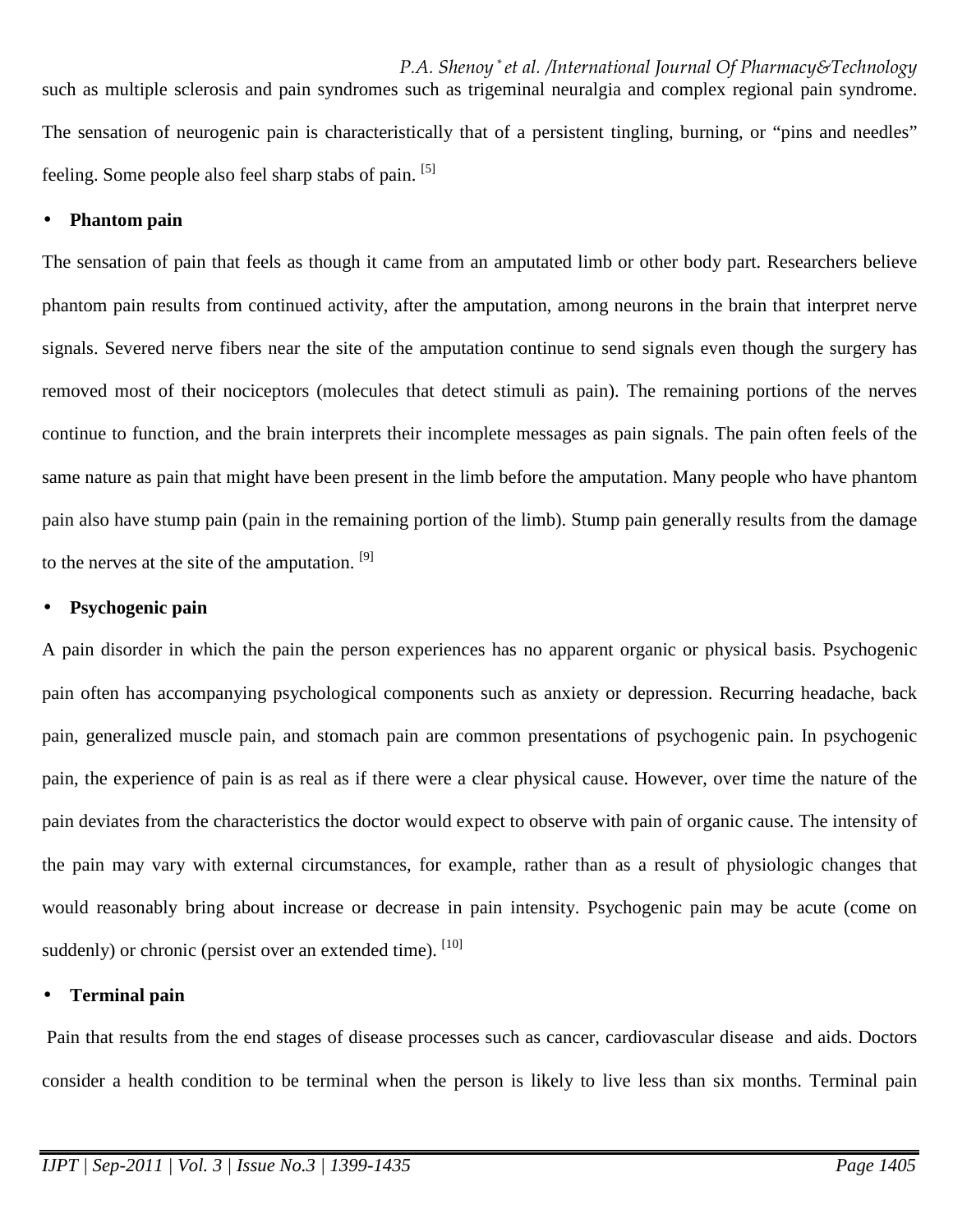*P.A. Shenoy \* et al. /International Journal Of Pharmacy&Technology* such as multiple sclerosis and pain syndromes such as trigeminal neuralgia and complex regional pain syndrome. The sensation of neurogenic pain is characteristically that of a persistent tingling, burning, or "pins and needles" feeling. Some people also feel sharp stabs of pain. [5]

#### • **Phantom pain**

The sensation of pain that feels as though it came from an amputated limb or other body part. Researchers believe phantom pain results from continued activity, after the amputation, among neurons in the brain that interpret nerve signals. Severed nerve fibers near the site of the amputation continue to send signals even though the surgery has removed most of their nociceptors (molecules that detect stimuli as pain). The remaining portions of the nerves continue to function, and the brain interprets their incomplete messages as pain signals. The pain often feels of the same nature as pain that might have been present in the limb before the amputation. Many people who have phantom pain also have stump pain (pain in the remaining portion of the limb). Stump pain generally results from the damage to the nerves at the site of the amputation. [9]

### • **Psychogenic pain**

A pain disorder in which the pain the person experiences has no apparent organic or physical basis. Psychogenic pain often has accompanying psychological components such as anxiety or depression. Recurring headache, back pain, generalized muscle pain, and stomach pain are common presentations of psychogenic pain. In psychogenic pain, the experience of pain is as real as if there were a clear physical cause. However, over time the nature of the pain deviates from the characteristics the doctor would expect to observe with pain of organic cause. The intensity of the pain may vary with external circumstances, for example, rather than as a result of physiologic changes that would reasonably bring about increase or decrease in pain intensity. Psychogenic pain may be acute (come on suddenly) or chronic (persist over an extended time). [10]

## • **Terminal pain**

Pain that results from the end stages of disease processes such as cancer, cardiovascular disease and aids. Doctors consider a health condition to be terminal when the person is likely to live less than six months. Terminal pain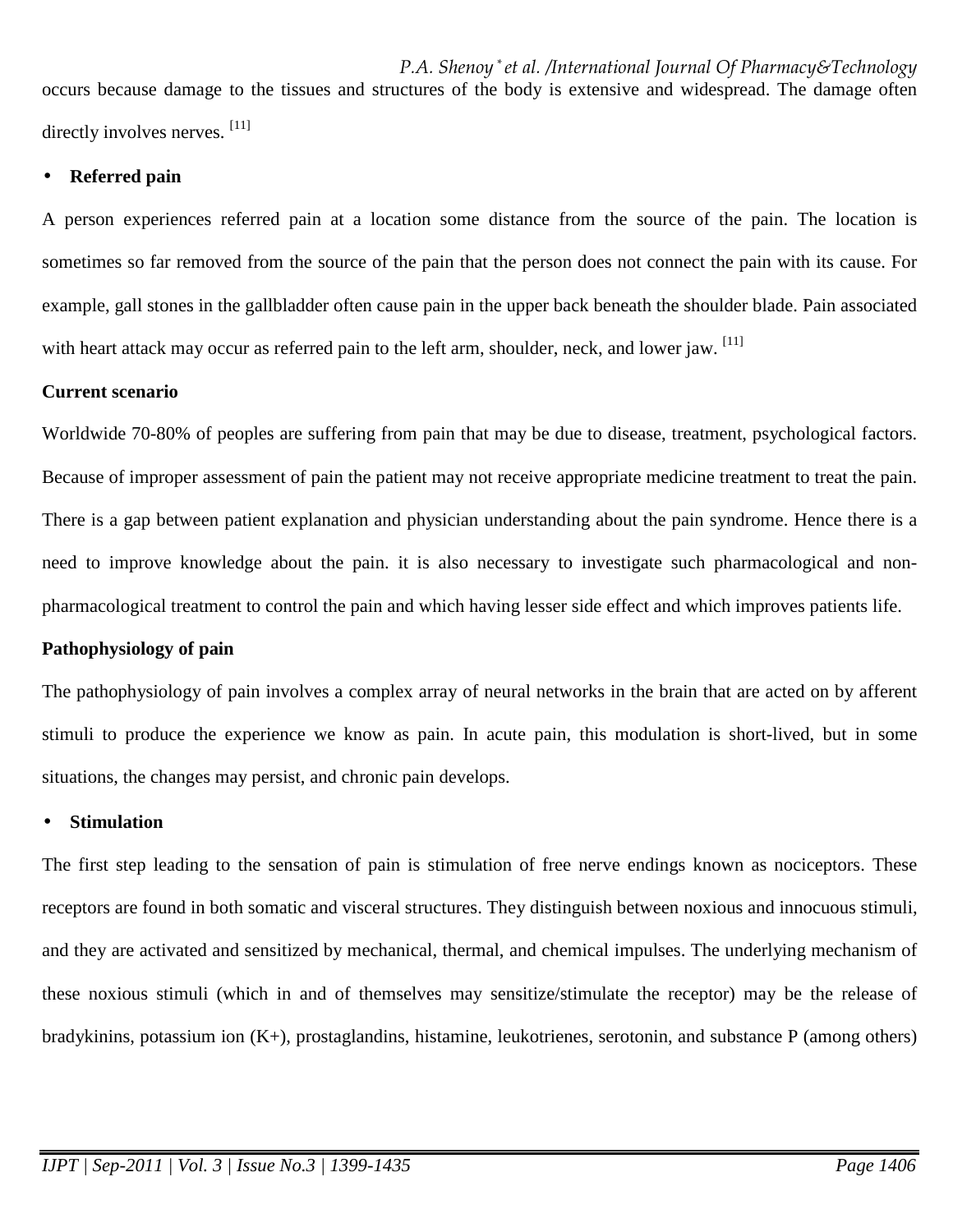*P.A. Shenoy \* et al. /International Journal Of Pharmacy&Technology* occurs because damage to the tissues and structures of the body is extensive and widespread. The damage often directly involves nerves. [11]

## • **Referred pain**

A person experiences referred pain at a location some distance from the source of the pain. The location is sometimes so far removed from the source of the pain that the person does not connect the pain with its cause. For example, gall stones in the gallbladder often cause pain in the upper back beneath the shoulder blade. Pain associated with heart attack may occur as referred pain to the left arm, shoulder, neck, and lower jaw. [11]

#### **Current scenario**

Worldwide 70-80% of peoples are suffering from pain that may be due to disease, treatment, psychological factors. Because of improper assessment of pain the patient may not receive appropriate medicine treatment to treat the pain. There is a gap between patient explanation and physician understanding about the pain syndrome. Hence there is a need to improve knowledge about the pain. it is also necessary to investigate such pharmacological and nonpharmacological treatment to control the pain and which having lesser side effect and which improves patients life.

## **Pathophysiology of pain**

The pathophysiology of pain involves a complex array of neural networks in the brain that are acted on by afferent stimuli to produce the experience we know as pain. In acute pain, this modulation is short-lived, but in some situations, the changes may persist, and chronic pain develops.

## • **Stimulation**

The first step leading to the sensation of pain is stimulation of free nerve endings known as nociceptors. These receptors are found in both somatic and visceral structures. They distinguish between noxious and innocuous stimuli, and they are activated and sensitized by mechanical, thermal, and chemical impulses. The underlying mechanism of these noxious stimuli (which in and of themselves may sensitize/stimulate the receptor) may be the release of bradykinins, potassium ion (K+), prostaglandins, histamine, leukotrienes, serotonin, and substance P (among others)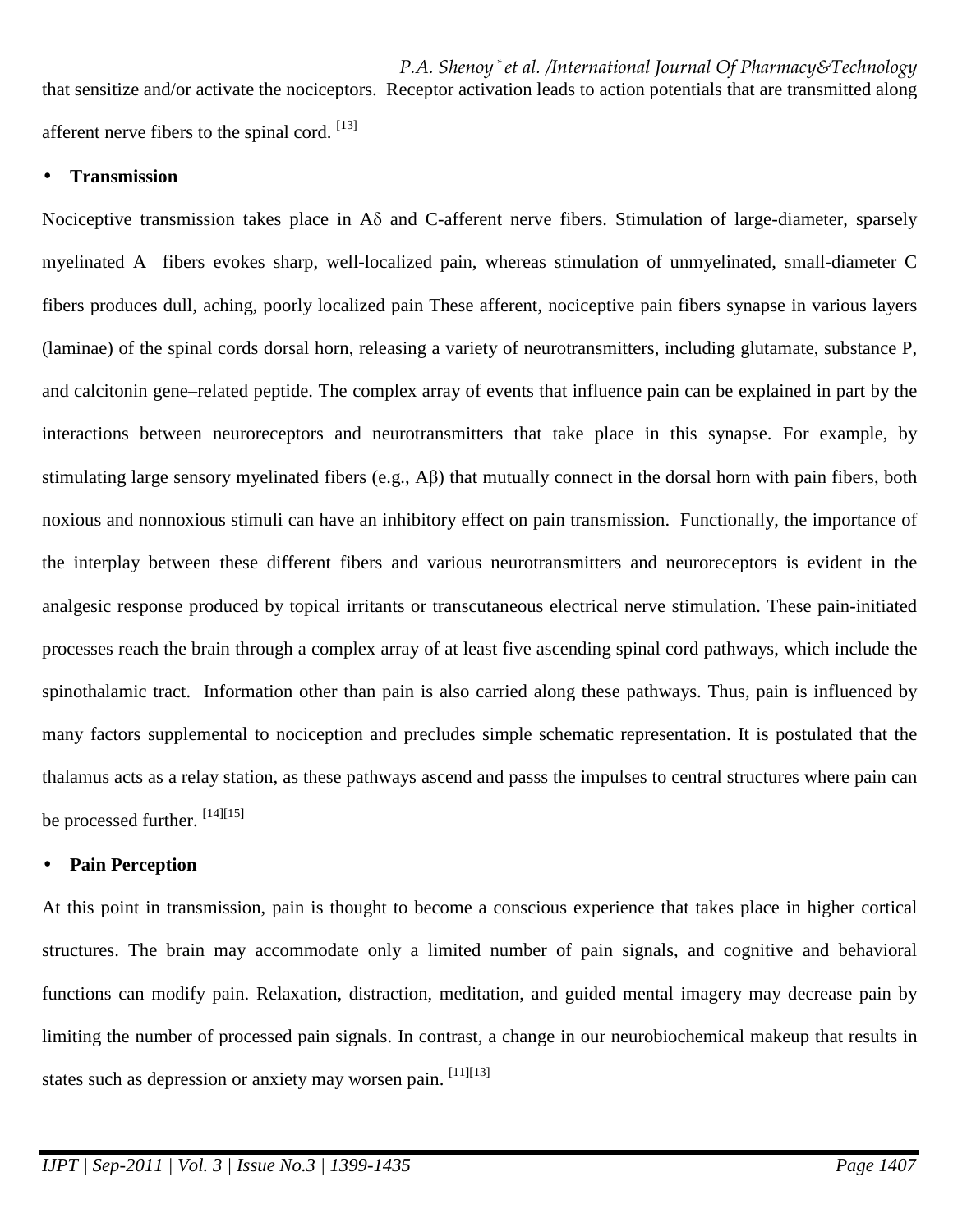*P.A. Shenoy \* et al. /International Journal Of Pharmacy&Technology* that sensitize and/or activate the nociceptors. Receptor activation leads to action potentials that are transmitted along afferent nerve fibers to the spinal cord. [13]

## • **Transmission**

Nociceptive transmission takes place in Aδ and C-afferent nerve fibers. Stimulation of large-diameter, sparsely myelinated A fibers evokes sharp, well-localized pain, whereas stimulation of unmyelinated, small-diameter C fibers produces dull, aching, poorly localized pain These afferent, nociceptive pain fibers synapse in various layers (laminae) of the spinal cords dorsal horn, releasing a variety of neurotransmitters, including glutamate, substance P, and calcitonin gene–related peptide. The complex array of events that influence pain can be explained in part by the interactions between neuroreceptors and neurotransmitters that take place in this synapse. For example, by stimulating large sensory myelinated fibers (e.g., Aβ) that mutually connect in the dorsal horn with pain fibers, both noxious and nonnoxious stimuli can have an inhibitory effect on pain transmission. Functionally, the importance of the interplay between these different fibers and various neurotransmitters and neuroreceptors is evident in the analgesic response produced by topical irritants or transcutaneous electrical nerve stimulation. These pain-initiated processes reach the brain through a complex array of at least five ascending spinal cord pathways, which include the spinothalamic tract. Information other than pain is also carried along these pathways. Thus, pain is influenced by many factors supplemental to nociception and precludes simple schematic representation. It is postulated that the thalamus acts as a relay station, as these pathways ascend and passs the impulses to central structures where pain can be processed further.  $^{[14][15]}$ 

#### • **Pain Perception**

At this point in transmission, pain is thought to become a conscious experience that takes place in higher cortical structures. The brain may accommodate only a limited number of pain signals, and cognitive and behavioral functions can modify pain. Relaxation, distraction, meditation, and guided mental imagery may decrease pain by limiting the number of processed pain signals. In contrast, a change in our neurobiochemical makeup that results in states such as depression or anxiety may worsen pain.  $[11][13]$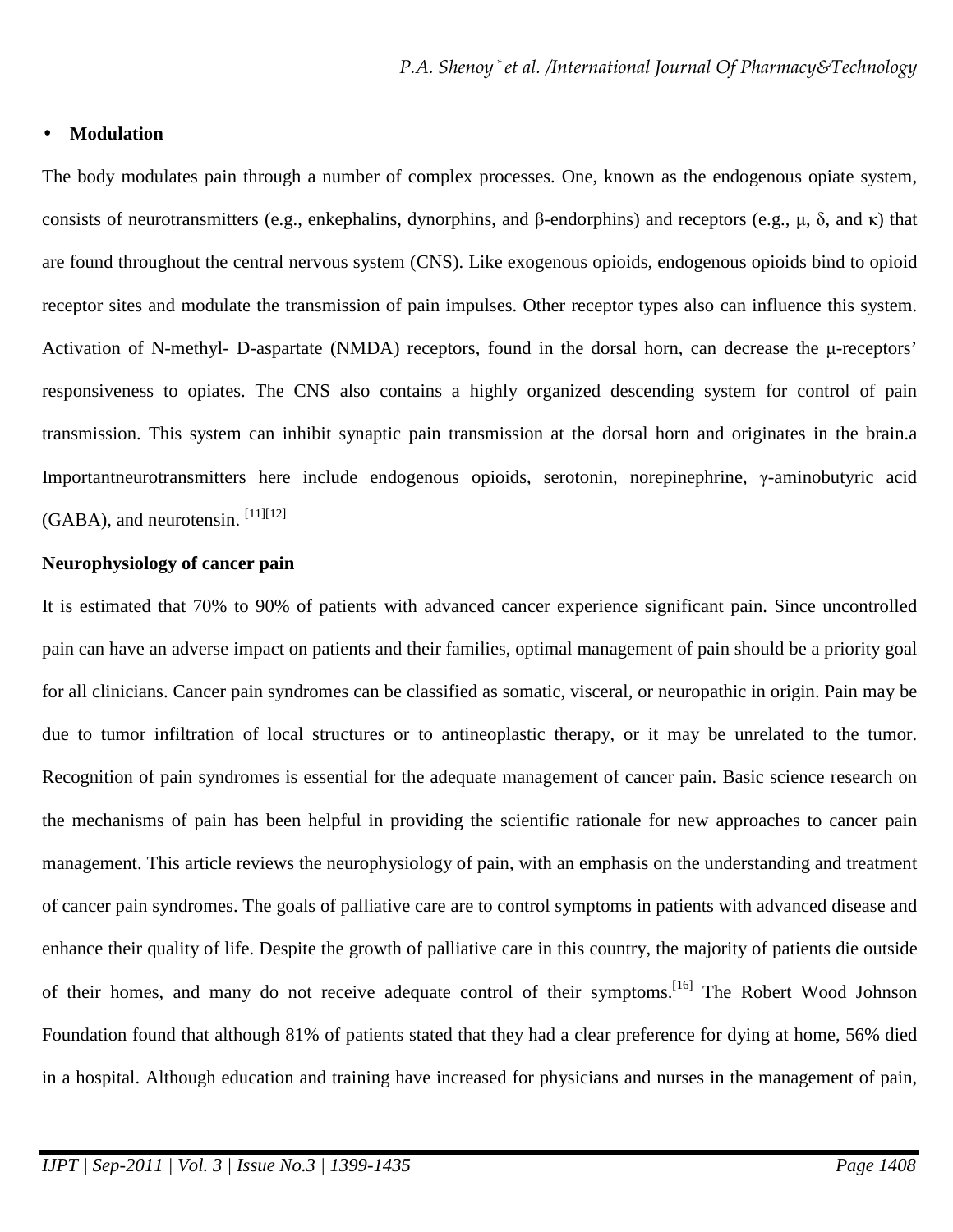#### • **Modulation**

The body modulates pain through a number of complex processes. One, known as the endogenous opiate system, consists of neurotransmitters (e.g., enkephalins, dynorphins, and β-endorphins) and receptors (e.g., µ, δ, and κ) that are found throughout the central nervous system (CNS). Like exogenous opioids, endogenous opioids bind to opioid receptor sites and modulate the transmission of pain impulses. Other receptor types also can influence this system. Activation of N-methyl- D-aspartate (NMDA) receptors, found in the dorsal horn, can decrease the µ-receptors' responsiveness to opiates. The CNS also contains a highly organized descending system for control of pain transmission. This system can inhibit synaptic pain transmission at the dorsal horn and originates in the brain.a Importantneurotransmitters here include endogenous opioids, serotonin, norepinephrine, γ-aminobutyric acid  $(GABA)$ , and neurotensin.  $^{[11][12]}$ 

#### **Neurophysiology of cancer pain**

It is estimated that 70% to 90% of patients with advanced cancer experience significant pain. Since uncontrolled pain can have an adverse impact on patients and their families, optimal management of pain should be a priority goal for all clinicians. Cancer pain syndromes can be classified as somatic, visceral, or neuropathic in origin. Pain may be due to tumor infiltration of local structures or to antineoplastic therapy, or it may be unrelated to the tumor. Recognition of pain syndromes is essential for the adequate management of cancer pain. Basic science research on the mechanisms of pain has been helpful in providing the scientific rationale for new approaches to cancer pain management. This article reviews the neurophysiology of pain, with an emphasis on the understanding and treatment of cancer pain syndromes. The goals of palliative care are to control symptoms in patients with advanced disease and enhance their quality of life. Despite the growth of palliative care in this country, the majority of patients die outside of their homes, and many do not receive adequate control of their symptoms.<sup>[16]</sup> The Robert Wood Johnson Foundation found that although 81% of patients stated that they had a clear preference for dying at home, 56% died in a hospital. Although education and training have increased for physicians and nurses in the management of pain,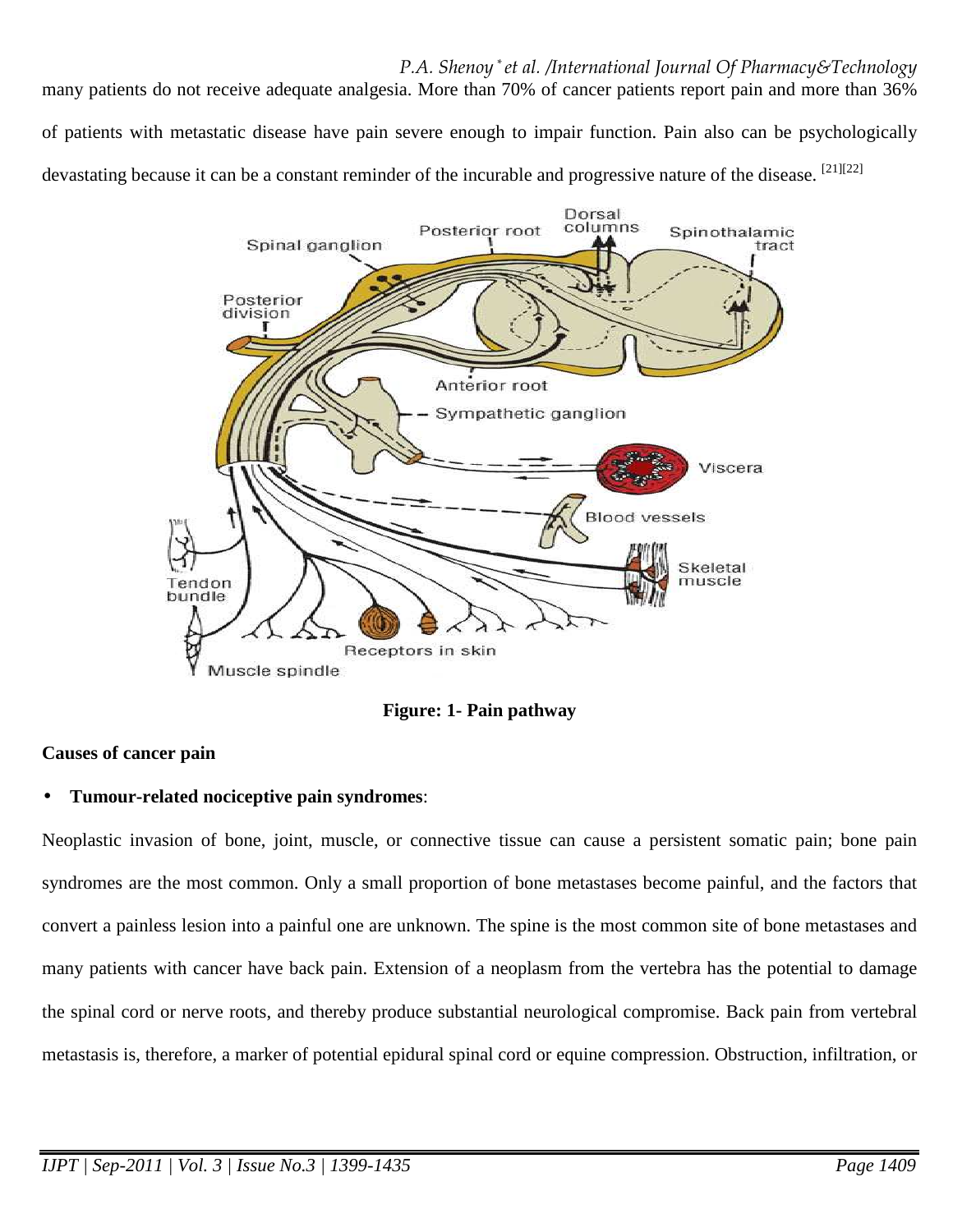*P.A. Shenoy \* et al. /International Journal Of Pharmacy&Technology* many patients do not receive adequate analgesia. More than 70% of cancer patients report pain and more than 36% of patients with metastatic disease have pain severe enough to impair function. Pain also can be psychologically devastating because it can be a constant reminder of the incurable and progressive nature of the disease. <sup>[21][22]</sup>



**Figure: 1- Pain pathway** 

# **Causes of cancer pain**

## • **Tumour-related nociceptive pain syndromes**:

Neoplastic invasion of bone, joint, muscle, or connective tissue can cause a persistent somatic pain; bone pain syndromes are the most common. Only a small proportion of bone metastases become painful, and the factors that convert a painless lesion into a painful one are unknown. The spine is the most common site of bone metastases and many patients with cancer have back pain. Extension of a neoplasm from the vertebra has the potential to damage the spinal cord or nerve roots, and thereby produce substantial neurological compromise. Back pain from vertebral metastasis is, therefore, a marker of potential epidural spinal cord or equine compression. Obstruction, infiltration, or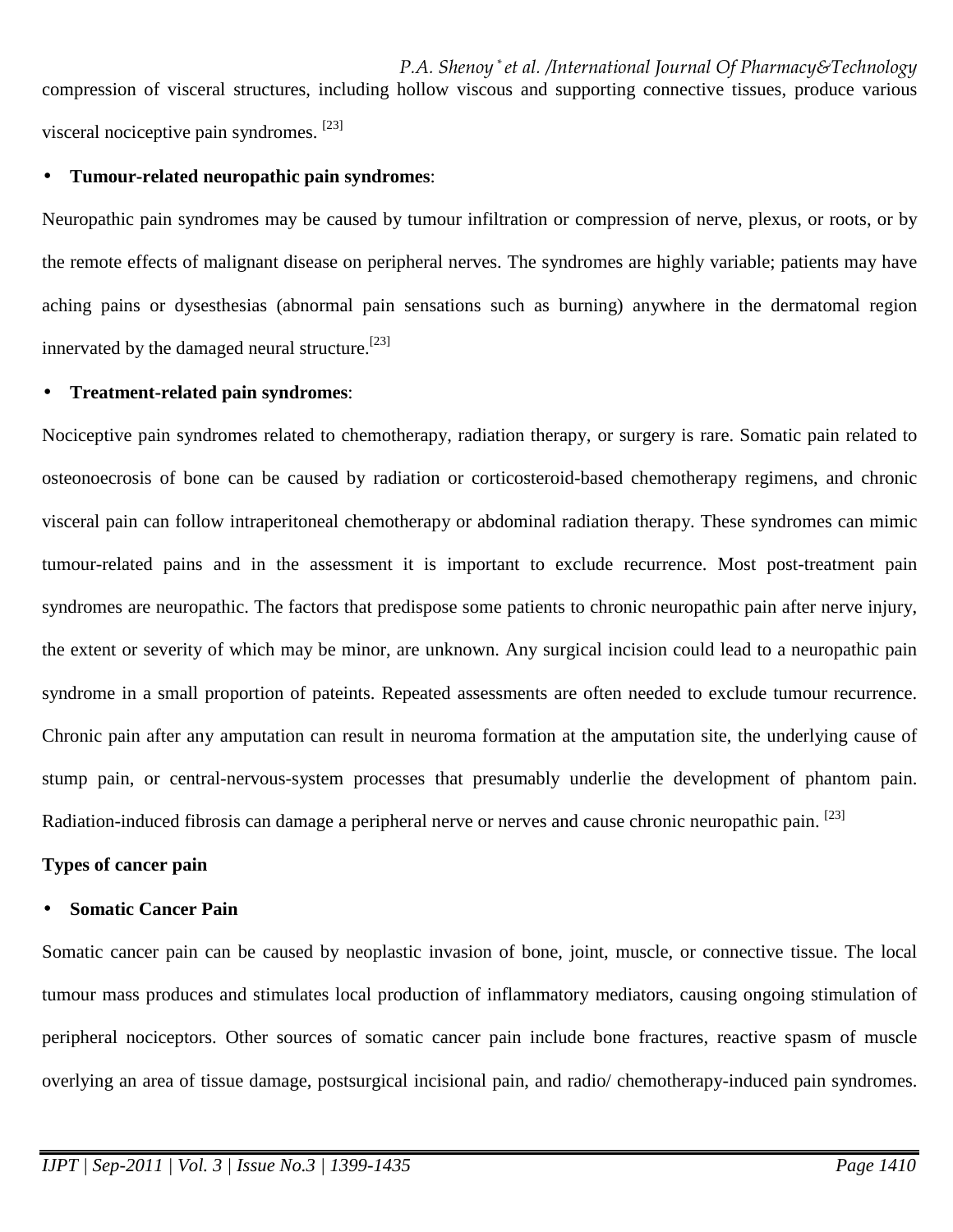*P.A. Shenoy \* et al. /International Journal Of Pharmacy&Technology* compression of visceral structures, including hollow viscous and supporting connective tissues, produce various visceral nociceptive pain syndromes. [23]

## • **Tumour-related neuropathic pain syndromes**:

Neuropathic pain syndromes may be caused by tumour infiltration or compression of nerve, plexus, or roots, or by the remote effects of malignant disease on peripheral nerves. The syndromes are highly variable; patients may have aching pains or dysesthesias (abnormal pain sensations such as burning) anywhere in the dermatomal region innervated by the damaged neural structure.<sup>[23]</sup>

## • **Treatment-related pain syndromes**:

Nociceptive pain syndromes related to chemotherapy, radiation therapy, or surgery is rare. Somatic pain related to osteonoecrosis of bone can be caused by radiation or corticosteroid-based chemotherapy regimens, and chronic visceral pain can follow intraperitoneal chemotherapy or abdominal radiation therapy. These syndromes can mimic tumour-related pains and in the assessment it is important to exclude recurrence. Most post-treatment pain syndromes are neuropathic. The factors that predispose some patients to chronic neuropathic pain after nerve injury, the extent or severity of which may be minor, are unknown. Any surgical incision could lead to a neuropathic pain syndrome in a small proportion of pateints. Repeated assessments are often needed to exclude tumour recurrence. Chronic pain after any amputation can result in neuroma formation at the amputation site, the underlying cause of stump pain, or central-nervous-system processes that presumably underlie the development of phantom pain. Radiation-induced fibrosis can damage a peripheral nerve or nerves and cause chronic neuropathic pain. <sup>[23]</sup>

## **Types of cancer pain**

## • **Somatic Cancer Pain**

Somatic cancer pain can be caused by neoplastic invasion of bone, joint, muscle, or connective tissue. The local tumour mass produces and stimulates local production of inflammatory mediators, causing ongoing stimulation of peripheral nociceptors. Other sources of somatic cancer pain include bone fractures, reactive spasm of muscle overlying an area of tissue damage, postsurgical incisional pain, and radio/ chemotherapy-induced pain syndromes.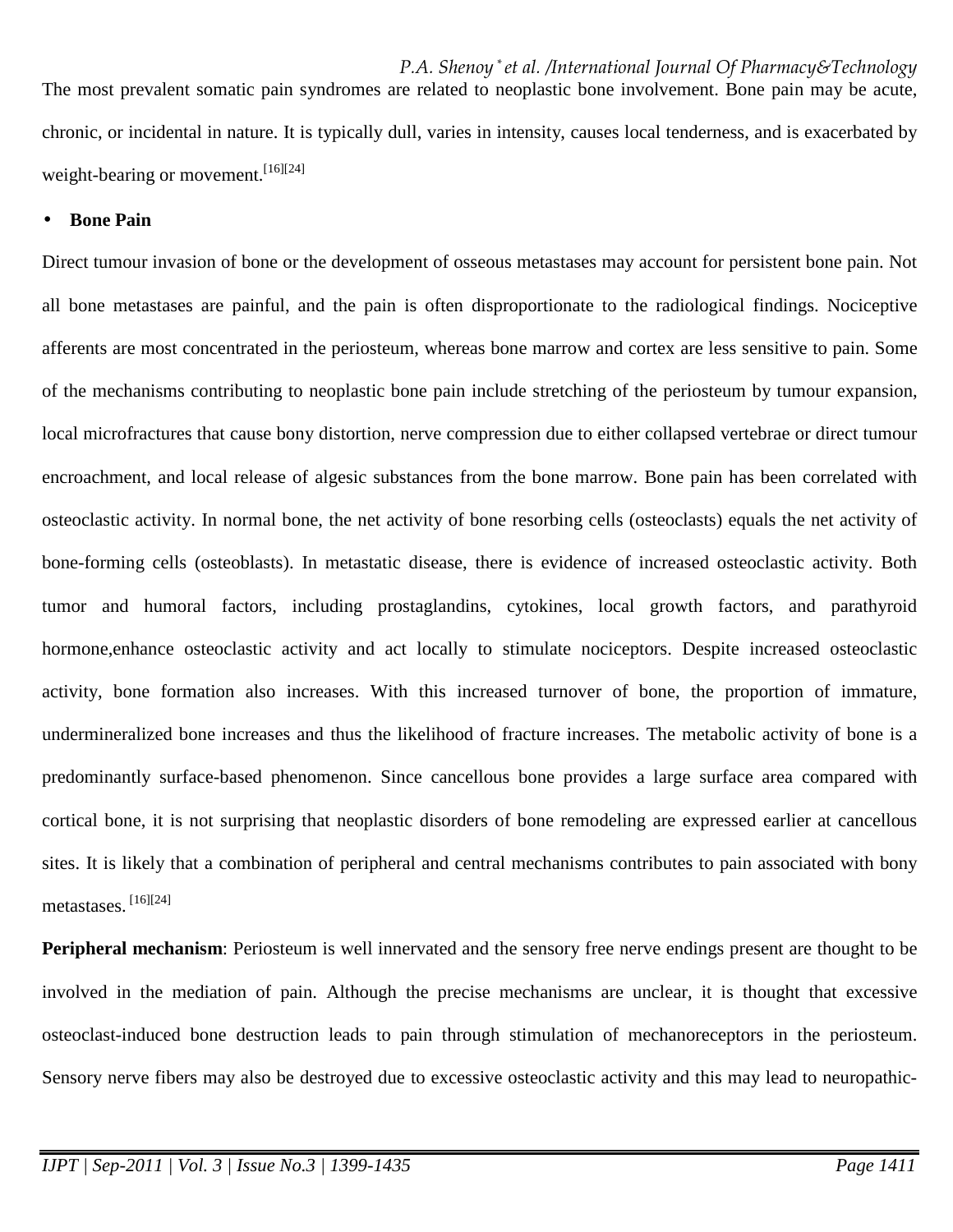*P.A. Shenoy \* et al. /International Journal Of Pharmacy&Technology* The most prevalent somatic pain syndromes are related to neoplastic bone involvement. Bone pain may be acute, chronic, or incidental in nature. It is typically dull, varies in intensity, causes local tenderness, and is exacerbated by weight-bearing or movement.<sup>[16][24]</sup>

#### • **Bone Pain**

Direct tumour invasion of bone or the development of osseous metastases may account for persistent bone pain. Not all bone metastases are painful, and the pain is often disproportionate to the radiological findings. Nociceptive afferents are most concentrated in the periosteum, whereas bone marrow and cortex are less sensitive to pain. Some of the mechanisms contributing to neoplastic bone pain include stretching of the periosteum by tumour expansion, local microfractures that cause bony distortion, nerve compression due to either collapsed vertebrae or direct tumour encroachment, and local release of algesic substances from the bone marrow. Bone pain has been correlated with osteoclastic activity. In normal bone, the net activity of bone resorbing cells (osteoclasts) equals the net activity of bone-forming cells (osteoblasts). In metastatic disease, there is evidence of increased osteoclastic activity. Both tumor and humoral factors, including prostaglandins, cytokines, local growth factors, and parathyroid hormone,enhance osteoclastic activity and act locally to stimulate nociceptors. Despite increased osteoclastic activity, bone formation also increases. With this increased turnover of bone, the proportion of immature, undermineralized bone increases and thus the likelihood of fracture increases. The metabolic activity of bone is a predominantly surface-based phenomenon. Since cancellous bone provides a large surface area compared with cortical bone, it is not surprising that neoplastic disorders of bone remodeling are expressed earlier at cancellous sites. It is likely that a combination of peripheral and central mechanisms contributes to pain associated with bony metastases. [16][24]

**Peripheral mechanism**: Periosteum is well innervated and the sensory free nerve endings present are thought to be involved in the mediation of pain. Although the precise mechanisms are unclear, it is thought that excessive osteoclast-induced bone destruction leads to pain through stimulation of mechanoreceptors in the periosteum. Sensory nerve fibers may also be destroyed due to excessive osteoclastic activity and this may lead to neuropathic-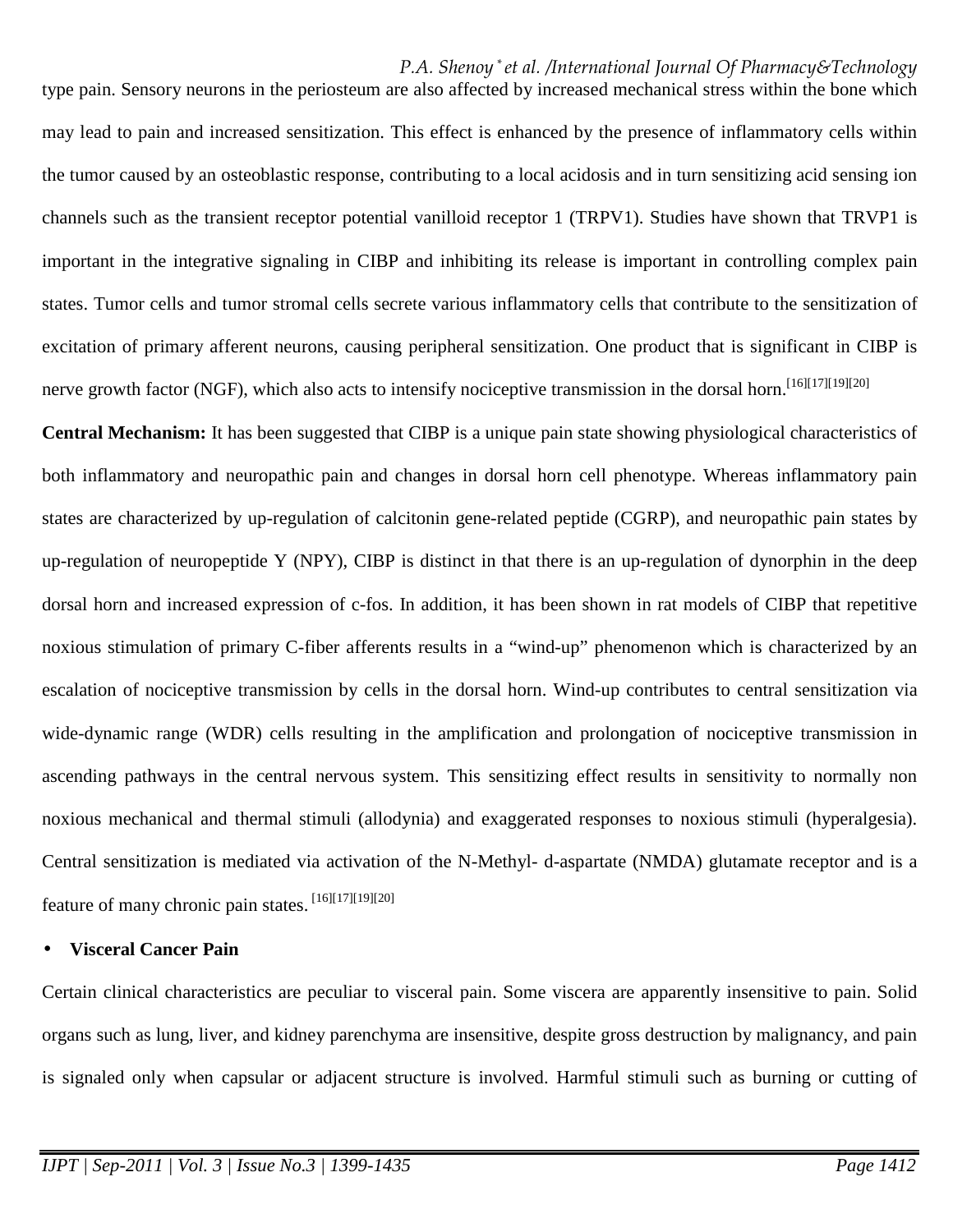*P.A. Shenoy \* et al. /International Journal Of Pharmacy&Technology* type pain. Sensory neurons in the periosteum are also affected by increased mechanical stress within the bone which may lead to pain and increased sensitization. This effect is enhanced by the presence of inflammatory cells within the tumor caused by an osteoblastic response, contributing to a local acidosis and in turn sensitizing acid sensing ion channels such as the transient receptor potential vanilloid receptor 1 (TRPV1). Studies have shown that TRVP1 is important in the integrative signaling in CIBP and inhibiting its release is important in controlling complex pain states. Tumor cells and tumor stromal cells secrete various inflammatory cells that contribute to the sensitization of excitation of primary afferent neurons, causing peripheral sensitization. One product that is significant in CIBP is nerve growth factor (NGF), which also acts to intensify nociceptive transmission in the dorsal horn.<sup>[16][17][19][20]</sup>

**Central Mechanism:** It has been suggested that CIBP is a unique pain state showing physiological characteristics of both inflammatory and neuropathic pain and changes in dorsal horn cell phenotype. Whereas inflammatory pain states are characterized by up-regulation of calcitonin gene-related peptide (CGRP), and neuropathic pain states by up-regulation of neuropeptide Y (NPY), CIBP is distinct in that there is an up-regulation of dynorphin in the deep dorsal horn and increased expression of c-fos. In addition, it has been shown in rat models of CIBP that repetitive noxious stimulation of primary C-fiber afferents results in a "wind-up" phenomenon which is characterized by an escalation of nociceptive transmission by cells in the dorsal horn. Wind-up contributes to central sensitization via wide-dynamic range (WDR) cells resulting in the amplification and prolongation of nociceptive transmission in ascending pathways in the central nervous system. This sensitizing effect results in sensitivity to normally non noxious mechanical and thermal stimuli (allodynia) and exaggerated responses to noxious stimuli (hyperalgesia). Central sensitization is mediated via activation of the N-Methyl- d-aspartate (NMDA) glutamate receptor and is a feature of many chronic pain states.  $^{[16][17][19][20]}$ 

## • **Visceral Cancer Pain**

Certain clinical characteristics are peculiar to visceral pain. Some viscera are apparently insensitive to pain. Solid organs such as lung, liver, and kidney parenchyma are insensitive, despite gross destruction by malignancy, and pain is signaled only when capsular or adjacent structure is involved. Harmful stimuli such as burning or cutting of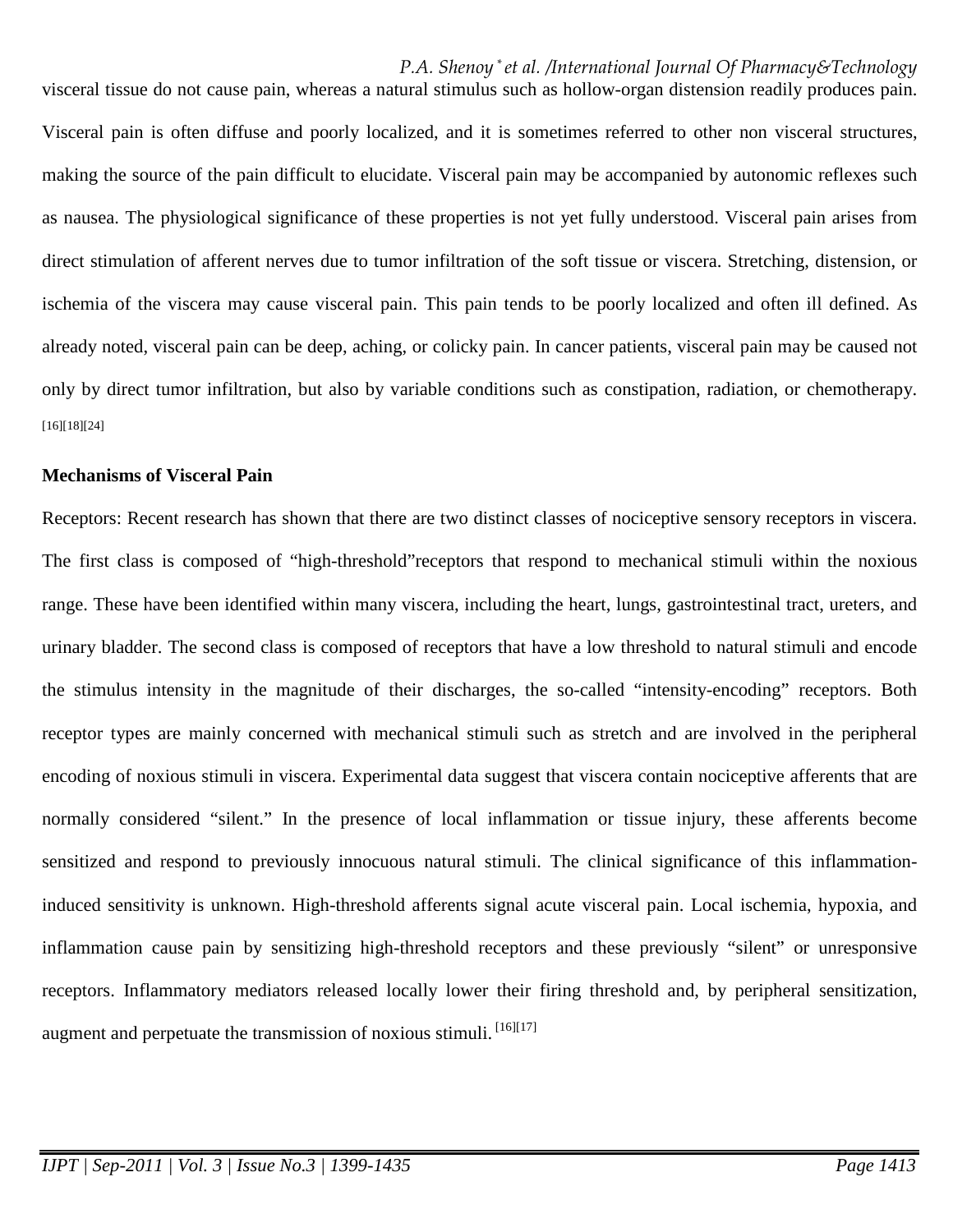*P.A. Shenoy \* et al. /International Journal Of Pharmacy&Technology* visceral tissue do not cause pain, whereas a natural stimulus such as hollow-organ distension readily produces pain. Visceral pain is often diffuse and poorly localized, and it is sometimes referred to other non visceral structures, making the source of the pain difficult to elucidate. Visceral pain may be accompanied by autonomic reflexes such as nausea. The physiological significance of these properties is not yet fully understood. Visceral pain arises from direct stimulation of afferent nerves due to tumor infiltration of the soft tissue or viscera. Stretching, distension, or ischemia of the viscera may cause visceral pain. This pain tends to be poorly localized and often ill defined. As already noted, visceral pain can be deep, aching, or colicky pain. In cancer patients, visceral pain may be caused not only by direct tumor infiltration, but also by variable conditions such as constipation, radiation, or chemotherapy. [16][18][24]

#### **Mechanisms of Visceral Pain**

Receptors: Recent research has shown that there are two distinct classes of nociceptive sensory receptors in viscera. The first class is composed of "high-threshold"receptors that respond to mechanical stimuli within the noxious range. These have been identified within many viscera, including the heart, lungs, gastrointestinal tract, ureters, and urinary bladder. The second class is composed of receptors that have a low threshold to natural stimuli and encode the stimulus intensity in the magnitude of their discharges, the so-called "intensity-encoding" receptors. Both receptor types are mainly concerned with mechanical stimuli such as stretch and are involved in the peripheral encoding of noxious stimuli in viscera. Experimental data suggest that viscera contain nociceptive afferents that are normally considered "silent." In the presence of local inflammation or tissue injury, these afferents become sensitized and respond to previously innocuous natural stimuli. The clinical significance of this inflammationinduced sensitivity is unknown. High-threshold afferents signal acute visceral pain. Local ischemia, hypoxia, and inflammation cause pain by sensitizing high-threshold receptors and these previously "silent" or unresponsive receptors. Inflammatory mediators released locally lower their firing threshold and, by peripheral sensitization, augment and perpetuate the transmission of noxious stimuli. [16][17]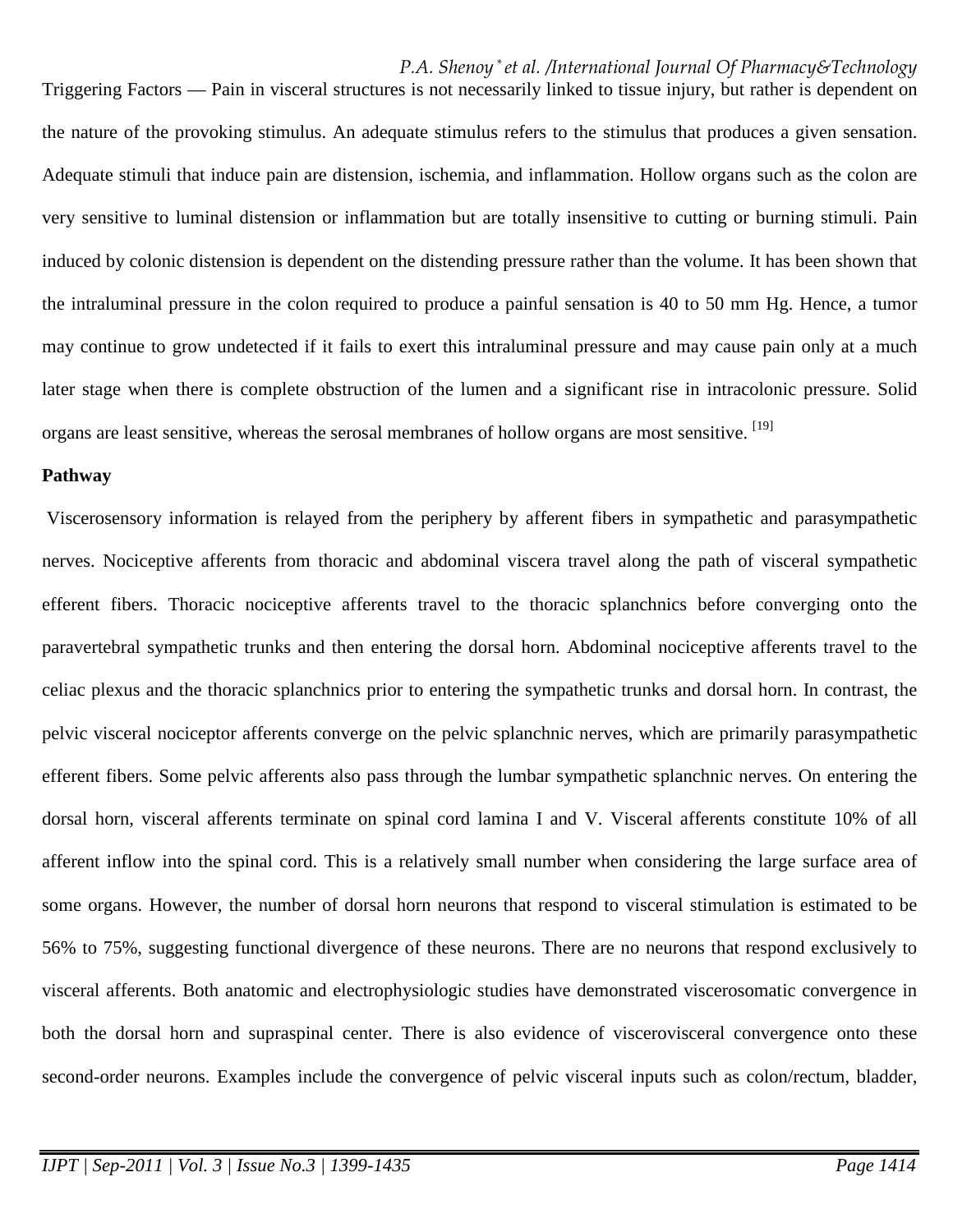*P.A. Shenoy \* et al. /International Journal Of Pharmacy&Technology* Triggering Factors — Pain in visceral structures is not necessarily linked to tissue injury, but rather is dependent on the nature of the provoking stimulus. An adequate stimulus refers to the stimulus that produces a given sensation. Adequate stimuli that induce pain are distension, ischemia, and inflammation. Hollow organs such as the colon are very sensitive to luminal distension or inflammation but are totally insensitive to cutting or burning stimuli. Pain induced by colonic distension is dependent on the distending pressure rather than the volume. It has been shown that the intraluminal pressure in the colon required to produce a painful sensation is 40 to 50 mm Hg. Hence, a tumor may continue to grow undetected if it fails to exert this intraluminal pressure and may cause pain only at a much later stage when there is complete obstruction of the lumen and a significant rise in intracolonic pressure. Solid organs are least sensitive, whereas the serosal membranes of hollow organs are most sensitive. <sup>[19]</sup>

## **Pathway**

 Viscerosensory information is relayed from the periphery by afferent fibers in sympathetic and parasympathetic nerves. Nociceptive afferents from thoracic and abdominal viscera travel along the path of visceral sympathetic efferent fibers. Thoracic nociceptive afferents travel to the thoracic splanchnics before converging onto the paravertebral sympathetic trunks and then entering the dorsal horn. Abdominal nociceptive afferents travel to the celiac plexus and the thoracic splanchnics prior to entering the sympathetic trunks and dorsal horn. In contrast, the pelvic visceral nociceptor afferents converge on the pelvic splanchnic nerves, which are primarily parasympathetic efferent fibers. Some pelvic afferents also pass through the lumbar sympathetic splanchnic nerves. On entering the dorsal horn, visceral afferents terminate on spinal cord lamina I and V. Visceral afferents constitute 10% of all afferent inflow into the spinal cord. This is a relatively small number when considering the large surface area of some organs. However, the number of dorsal horn neurons that respond to visceral stimulation is estimated to be 56% to 75%, suggesting functional divergence of these neurons. There are no neurons that respond exclusively to visceral afferents. Both anatomic and electrophysiologic studies have demonstrated viscerosomatic convergence in both the dorsal horn and supraspinal center. There is also evidence of viscerovisceral convergence onto these second-order neurons. Examples include the convergence of pelvic visceral inputs such as colon/rectum, bladder,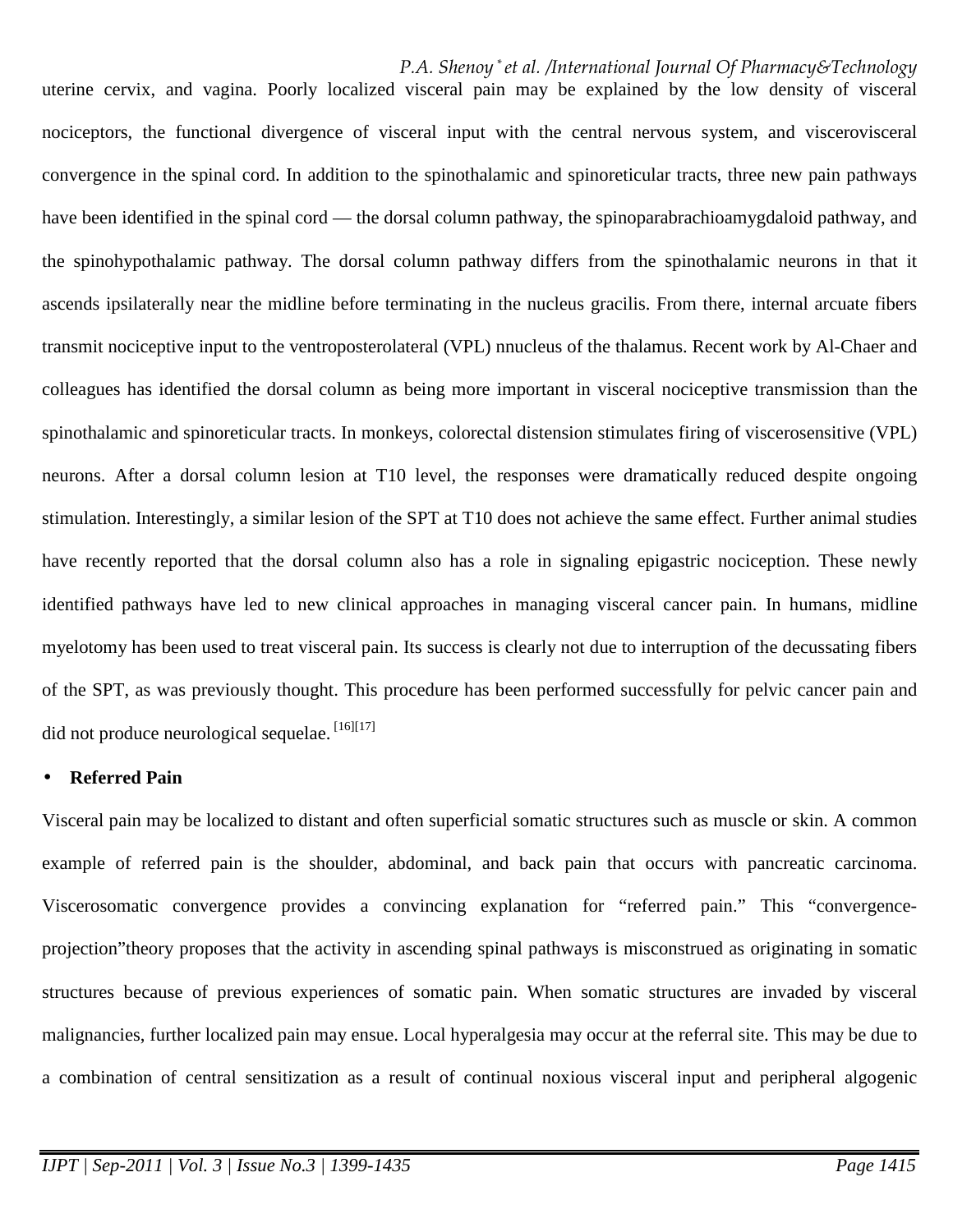*P.A. Shenoy \* et al. /International Journal Of Pharmacy&Technology* uterine cervix, and vagina. Poorly localized visceral pain may be explained by the low density of visceral nociceptors, the functional divergence of visceral input with the central nervous system, and viscerovisceral convergence in the spinal cord. In addition to the spinothalamic and spinoreticular tracts, three new pain pathways have been identified in the spinal cord — the dorsal column pathway, the spinoparabrachioamygdaloid pathway, and the spinohypothalamic pathway. The dorsal column pathway differs from the spinothalamic neurons in that it ascends ipsilaterally near the midline before terminating in the nucleus gracilis. From there, internal arcuate fibers transmit nociceptive input to the ventroposterolateral (VPL) nnucleus of the thalamus. Recent work by Al-Chaer and colleagues has identified the dorsal column as being more important in visceral nociceptive transmission than the spinothalamic and spinoreticular tracts. In monkeys, colorectal distension stimulates firing of viscerosensitive (VPL) neurons. After a dorsal column lesion at T10 level, the responses were dramatically reduced despite ongoing stimulation. Interestingly, a similar lesion of the SPT at T10 does not achieve the same effect. Further animal studies have recently reported that the dorsal column also has a role in signaling epigastric nociception. These newly identified pathways have led to new clinical approaches in managing visceral cancer pain. In humans, midline myelotomy has been used to treat visceral pain. Its success is clearly not due to interruption of the decussating fibers of the SPT, as was previously thought. This procedure has been performed successfully for pelvic cancer pain and did not produce neurological sequelae.  $[16][17]$ 

## • **Referred Pain**

Visceral pain may be localized to distant and often superficial somatic structures such as muscle or skin. A common example of referred pain is the shoulder, abdominal, and back pain that occurs with pancreatic carcinoma. Viscerosomatic convergence provides a convincing explanation for "referred pain." This "convergenceprojection"theory proposes that the activity in ascending spinal pathways is misconstrued as originating in somatic structures because of previous experiences of somatic pain. When somatic structures are invaded by visceral malignancies, further localized pain may ensue. Local hyperalgesia may occur at the referral site. This may be due to a combination of central sensitization as a result of continual noxious visceral input and peripheral algogenic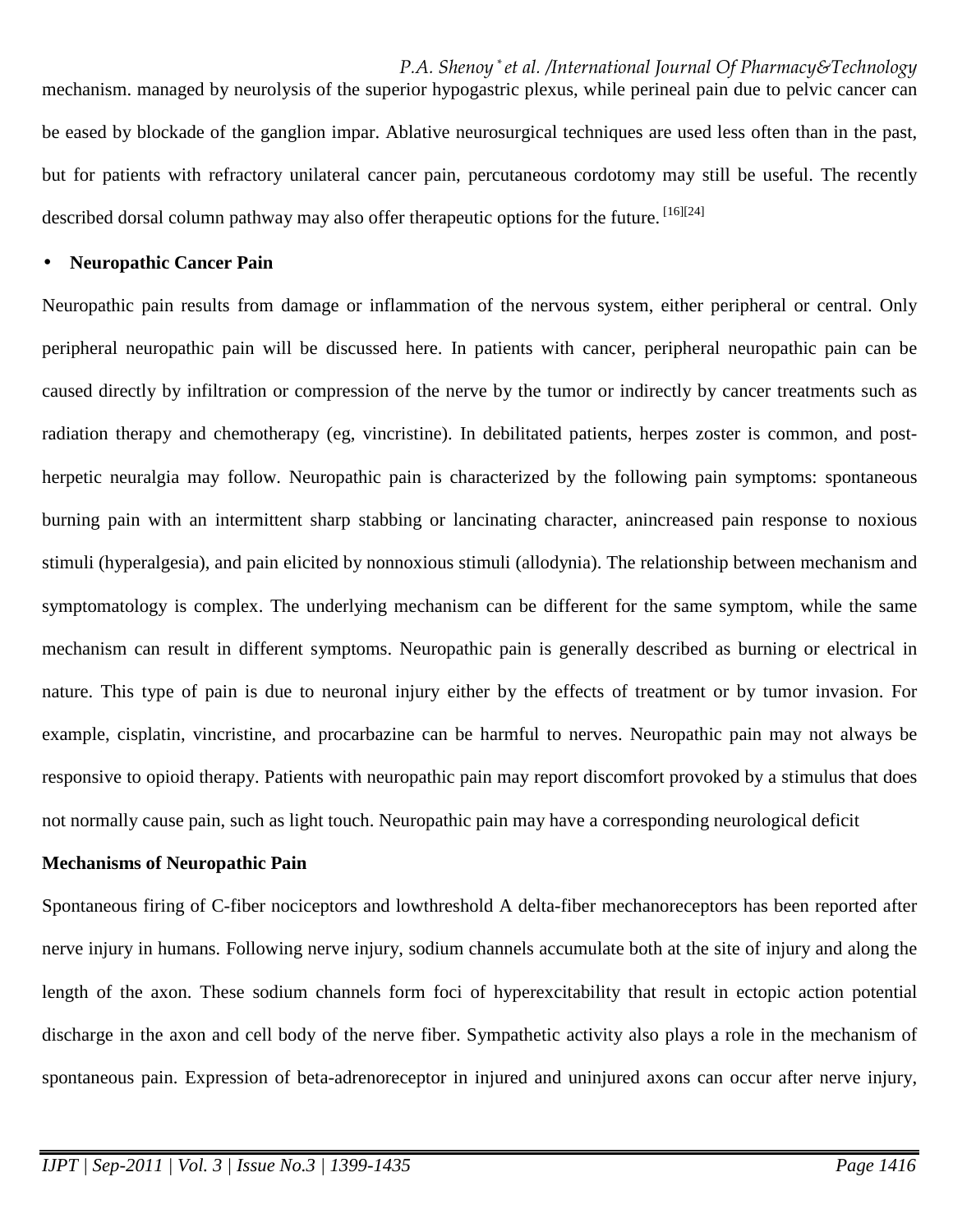*P.A. Shenoy \* et al. /International Journal Of Pharmacy&Technology* mechanism. managed by neurolysis of the superior hypogastric plexus, while perineal pain due to pelvic cancer can be eased by blockade of the ganglion impar. Ablative neurosurgical techniques are used less often than in the past, but for patients with refractory unilateral cancer pain, percutaneous cordotomy may still be useful. The recently described dorsal column pathway may also offer therapeutic options for the future. [16][24]

#### • **Neuropathic Cancer Pain**

Neuropathic pain results from damage or inflammation of the nervous system, either peripheral or central. Only peripheral neuropathic pain will be discussed here. In patients with cancer, peripheral neuropathic pain can be caused directly by infiltration or compression of the nerve by the tumor or indirectly by cancer treatments such as radiation therapy and chemotherapy (eg, vincristine). In debilitated patients, herpes zoster is common, and postherpetic neuralgia may follow. Neuropathic pain is characterized by the following pain symptoms: spontaneous burning pain with an intermittent sharp stabbing or lancinating character, anincreased pain response to noxious stimuli (hyperalgesia), and pain elicited by nonnoxious stimuli (allodynia). The relationship between mechanism and symptomatology is complex. The underlying mechanism can be different for the same symptom, while the same mechanism can result in different symptoms. Neuropathic pain is generally described as burning or electrical in nature. This type of pain is due to neuronal injury either by the effects of treatment or by tumor invasion. For example, cisplatin, vincristine, and procarbazine can be harmful to nerves. Neuropathic pain may not always be responsive to opioid therapy. Patients with neuropathic pain may report discomfort provoked by a stimulus that does not normally cause pain, such as light touch. Neuropathic pain may have a corresponding neurological deficit

#### **Mechanisms of Neuropathic Pain**

Spontaneous firing of C-fiber nociceptors and lowthreshold A delta-fiber mechanoreceptors has been reported after nerve injury in humans. Following nerve injury, sodium channels accumulate both at the site of injury and along the length of the axon. These sodium channels form foci of hyperexcitability that result in ectopic action potential discharge in the axon and cell body of the nerve fiber. Sympathetic activity also plays a role in the mechanism of spontaneous pain. Expression of beta-adrenoreceptor in injured and uninjured axons can occur after nerve injury,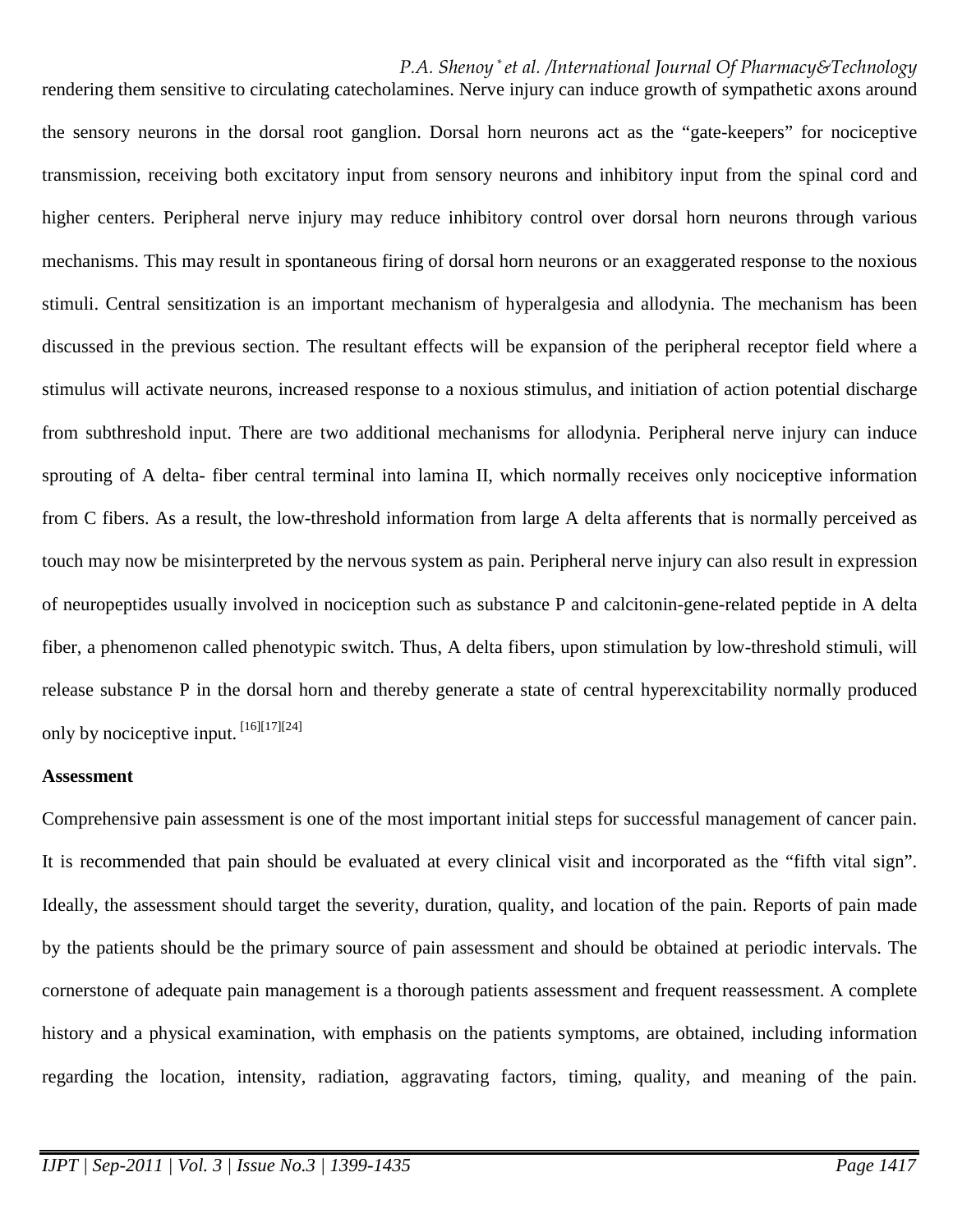rendering them sensitive to circulating catecholamines. Nerve injury can induce growth of sympathetic axons around the sensory neurons in the dorsal root ganglion. Dorsal horn neurons act as the "gate-keepers" for nociceptive transmission, receiving both excitatory input from sensory neurons and inhibitory input from the spinal cord and higher centers. Peripheral nerve injury may reduce inhibitory control over dorsal horn neurons through various mechanisms. This may result in spontaneous firing of dorsal horn neurons or an exaggerated response to the noxious stimuli. Central sensitization is an important mechanism of hyperalgesia and allodynia. The mechanism has been discussed in the previous section. The resultant effects will be expansion of the peripheral receptor field where a stimulus will activate neurons, increased response to a noxious stimulus, and initiation of action potential discharge from subthreshold input. There are two additional mechanisms for allodynia. Peripheral nerve injury can induce sprouting of A delta- fiber central terminal into lamina II, which normally receives only nociceptive information from C fibers. As a result, the low-threshold information from large A delta afferents that is normally perceived as touch may now be misinterpreted by the nervous system as pain. Peripheral nerve injury can also result in expression of neuropeptides usually involved in nociception such as substance P and calcitonin-gene-related peptide in A delta fiber, a phenomenon called phenotypic switch. Thus, A delta fibers, upon stimulation by low-threshold stimuli, will release substance P in the dorsal horn and thereby generate a state of central hyperexcitability normally produced only by nociceptive input. [16][17][24]

#### **Assessment**

Comprehensive pain assessment is one of the most important initial steps for successful management of cancer pain. It is recommended that pain should be evaluated at every clinical visit and incorporated as the "fifth vital sign". Ideally, the assessment should target the severity, duration, quality, and location of the pain. Reports of pain made by the patients should be the primary source of pain assessment and should be obtained at periodic intervals. The cornerstone of adequate pain management is a thorough patients assessment and frequent reassessment. A complete history and a physical examination, with emphasis on the patients symptoms, are obtained, including information regarding the location, intensity, radiation, aggravating factors, timing, quality, and meaning of the pain.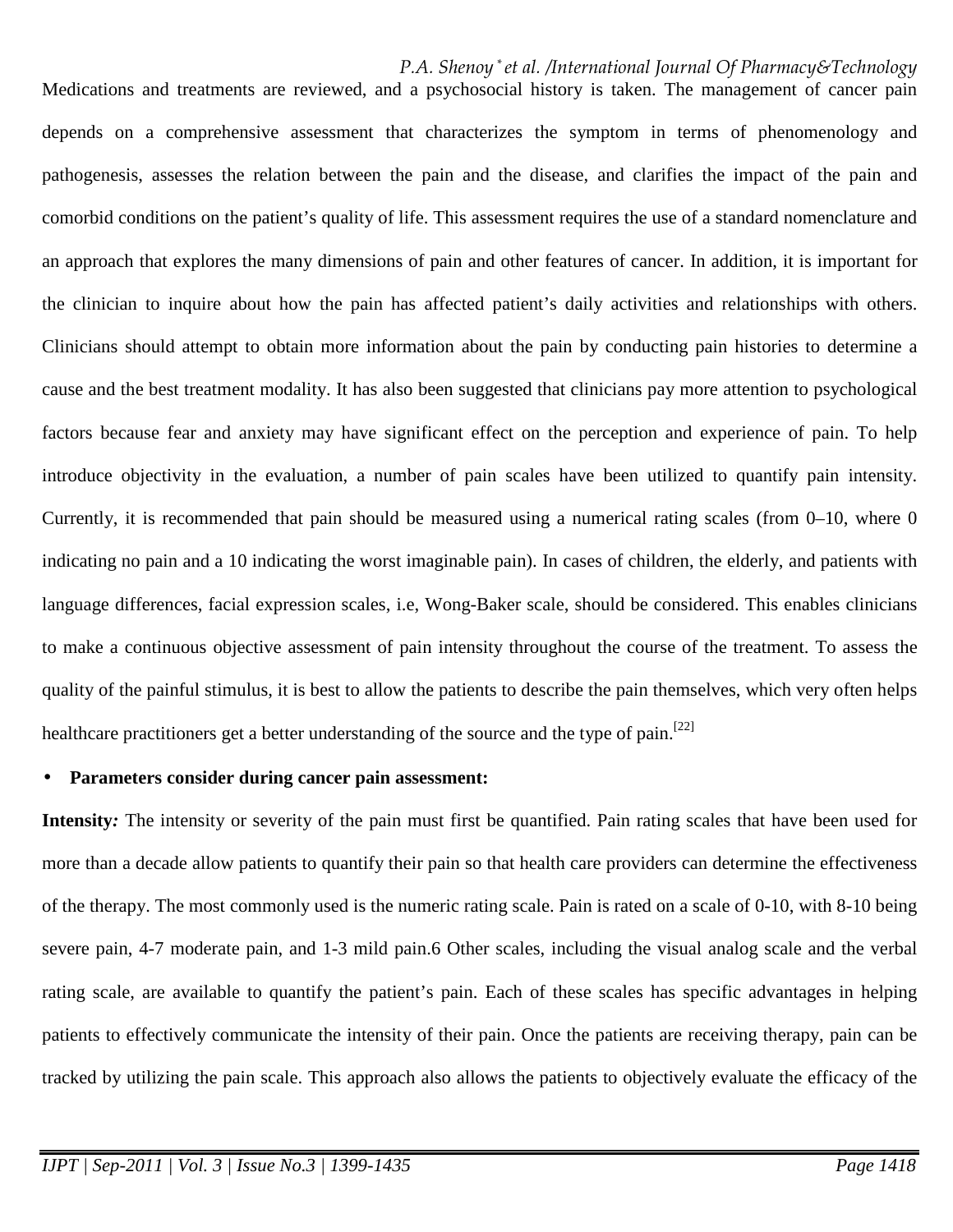Medications and treatments are reviewed, and a psychosocial history is taken. The management of cancer pain depends on a comprehensive assessment that characterizes the symptom in terms of phenomenology and pathogenesis, assesses the relation between the pain and the disease, and clarifies the impact of the pain and comorbid conditions on the patient's quality of life. This assessment requires the use of a standard nomenclature and an approach that explores the many dimensions of pain and other features of cancer. In addition, it is important for the clinician to inquire about how the pain has affected patient's daily activities and relationships with others. Clinicians should attempt to obtain more information about the pain by conducting pain histories to determine a cause and the best treatment modality. It has also been suggested that clinicians pay more attention to psychological factors because fear and anxiety may have significant effect on the perception and experience of pain. To help introduce objectivity in the evaluation, a number of pain scales have been utilized to quantify pain intensity. Currently, it is recommended that pain should be measured using a numerical rating scales (from 0–10, where 0 indicating no pain and a 10 indicating the worst imaginable pain). In cases of children, the elderly, and patients with language differences, facial expression scales, i.e, Wong-Baker scale, should be considered. This enables clinicians to make a continuous objective assessment of pain intensity throughout the course of the treatment. To assess the quality of the painful stimulus, it is best to allow the patients to describe the pain themselves, which very often helps healthcare practitioners get a better understanding of the source and the type of pain.<sup>[22]</sup>

## • **Parameters consider during cancer pain assessment:**

**Intensity***:* The intensity or severity of the pain must first be quantified. Pain rating scales that have been used for more than a decade allow patients to quantify their pain so that health care providers can determine the effectiveness of the therapy. The most commonly used is the numeric rating scale. Pain is rated on a scale of 0-10, with 8-10 being severe pain, 4-7 moderate pain, and 1-3 mild pain.6 Other scales, including the visual analog scale and the verbal rating scale, are available to quantify the patient's pain. Each of these scales has specific advantages in helping patients to effectively communicate the intensity of their pain. Once the patients are receiving therapy, pain can be tracked by utilizing the pain scale. This approach also allows the patients to objectively evaluate the efficacy of the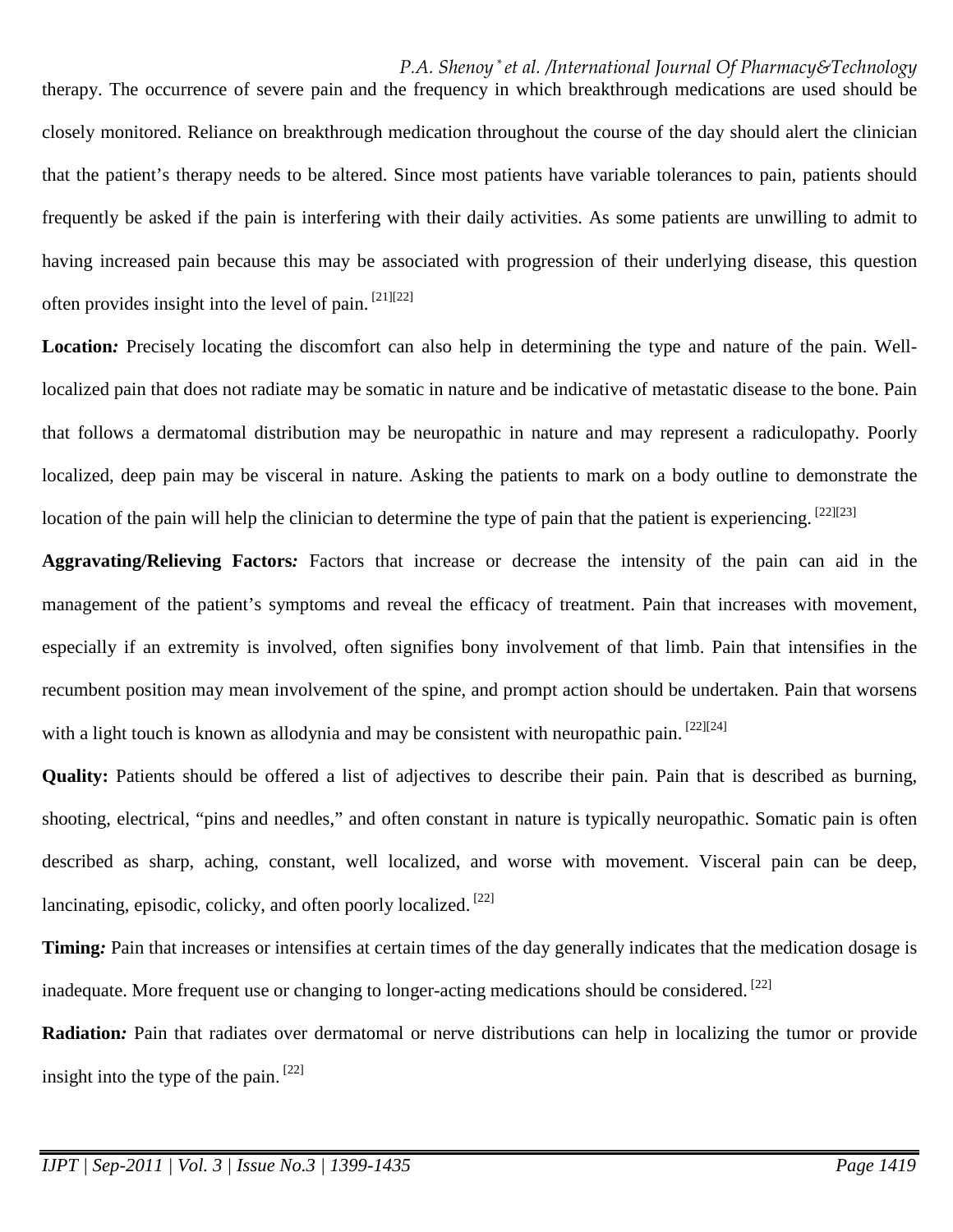*P.A. Shenoy \* et al. /International Journal Of Pharmacy&Technology* therapy. The occurrence of severe pain and the frequency in which breakthrough medications are used should be closely monitored. Reliance on breakthrough medication throughout the course of the day should alert the clinician that the patient's therapy needs to be altered. Since most patients have variable tolerances to pain, patients should frequently be asked if the pain is interfering with their daily activities. As some patients are unwilling to admit to having increased pain because this may be associated with progression of their underlying disease, this question often provides insight into the level of pain. [21][22]

Location: Precisely locating the discomfort can also help in determining the type and nature of the pain. Welllocalized pain that does not radiate may be somatic in nature and be indicative of metastatic disease to the bone. Pain that follows a dermatomal distribution may be neuropathic in nature and may represent a radiculopathy. Poorly localized, deep pain may be visceral in nature. Asking the patients to mark on a body outline to demonstrate the location of the pain will help the clinician to determine the type of pain that the patient is experiencing.  $[22][23]$ 

**Aggravating/Relieving Factors***:* Factors that increase or decrease the intensity of the pain can aid in the management of the patient's symptoms and reveal the efficacy of treatment. Pain that increases with movement, especially if an extremity is involved, often signifies bony involvement of that limb. Pain that intensifies in the recumbent position may mean involvement of the spine, and prompt action should be undertaken. Pain that worsens with a light touch is known as allodynia and may be consistent with neuropathic pain.  $[22][24]$ 

**Quality:** Patients should be offered a list of adjectives to describe their pain. Pain that is described as burning, shooting, electrical, "pins and needles," and often constant in nature is typically neuropathic. Somatic pain is often described as sharp, aching, constant, well localized, and worse with movement. Visceral pain can be deep, lancinating, episodic, colicky, and often poorly localized.  $[22]$ 

**Timing***:* Pain that increases or intensifies at certain times of the day generally indicates that the medication dosage is inadequate. More frequent use or changing to longer-acting medications should be considered.  $^{[22]}$ 

**Radiation***:* Pain that radiates over dermatomal or nerve distributions can help in localizing the tumor or provide insight into the type of the pain.  $[22]$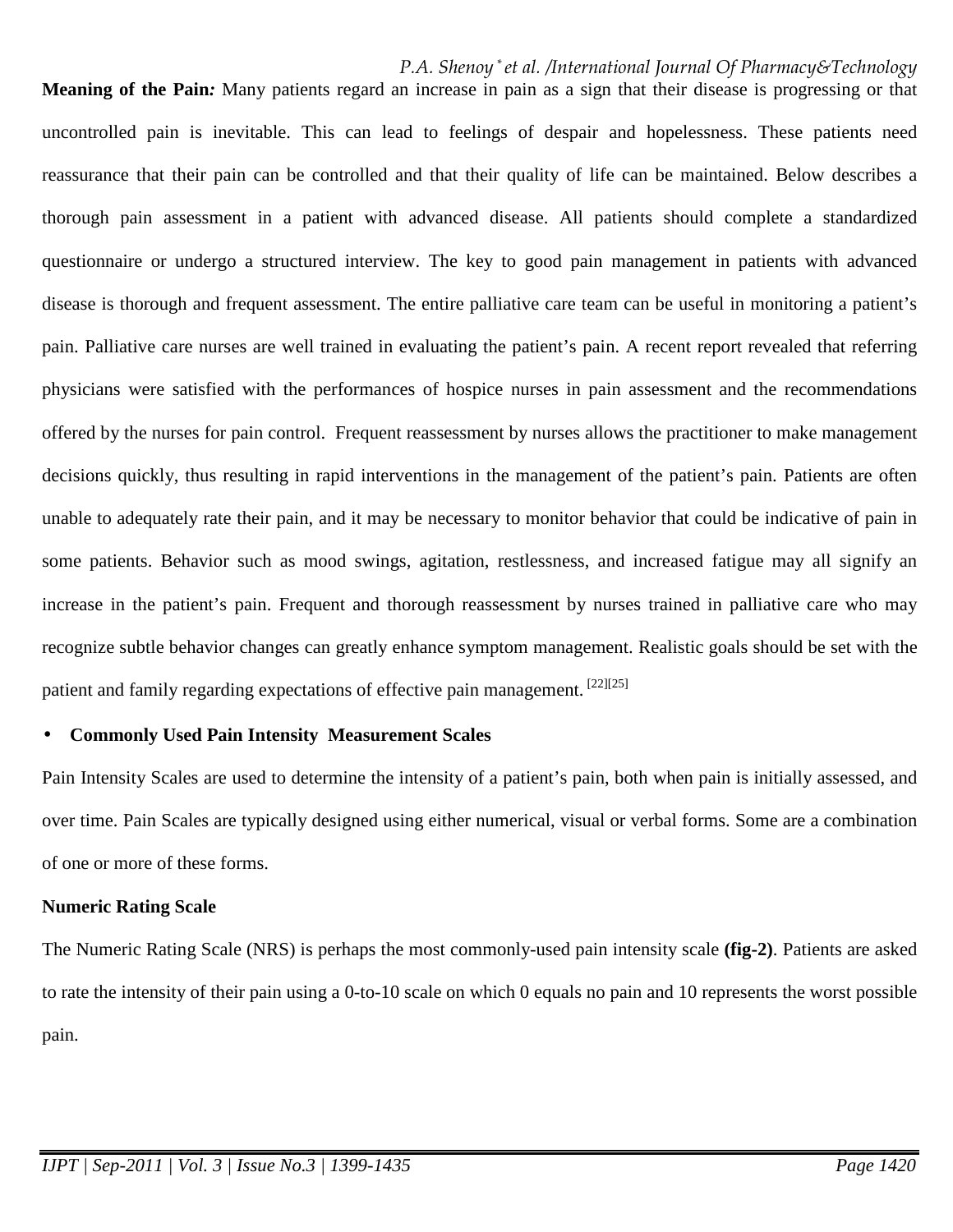*P.A. Shenoy \* et al. /International Journal Of Pharmacy&Technology* **Meaning of the Pain***:* Many patients regard an increase in pain as a sign that their disease is progressing or that uncontrolled pain is inevitable. This can lead to feelings of despair and hopelessness. These patients need reassurance that their pain can be controlled and that their quality of life can be maintained. Below describes a thorough pain assessment in a patient with advanced disease. All patients should complete a standardized questionnaire or undergo a structured interview. The key to good pain management in patients with advanced disease is thorough and frequent assessment. The entire palliative care team can be useful in monitoring a patient's pain. Palliative care nurses are well trained in evaluating the patient's pain. A recent report revealed that referring physicians were satisfied with the performances of hospice nurses in pain assessment and the recommendations offered by the nurses for pain control. Frequent reassessment by nurses allows the practitioner to make management decisions quickly, thus resulting in rapid interventions in the management of the patient's pain. Patients are often unable to adequately rate their pain, and it may be necessary to monitor behavior that could be indicative of pain in some patients. Behavior such as mood swings, agitation, restlessness, and increased fatigue may all signify an increase in the patient's pain. Frequent and thorough reassessment by nurses trained in palliative care who may recognize subtle behavior changes can greatly enhance symptom management. Realistic goals should be set with the patient and family regarding expectations of effective pain management. [22][25]

#### • **Commonly Used Pain Intensity Measurement Scales**

Pain Intensity Scales are used to determine the intensity of a patient's pain, both when pain is initially assessed, and over time. Pain Scales are typically designed using either numerical, visual or verbal forms. Some are a combination of one or more of these forms.

## **Numeric Rating Scale**

The Numeric Rating Scale (NRS) is perhaps the most commonly-used pain intensity scale **(fig-2)**. Patients are asked to rate the intensity of their pain using a 0-to-10 scale on which 0 equals no pain and 10 represents the worst possible pain.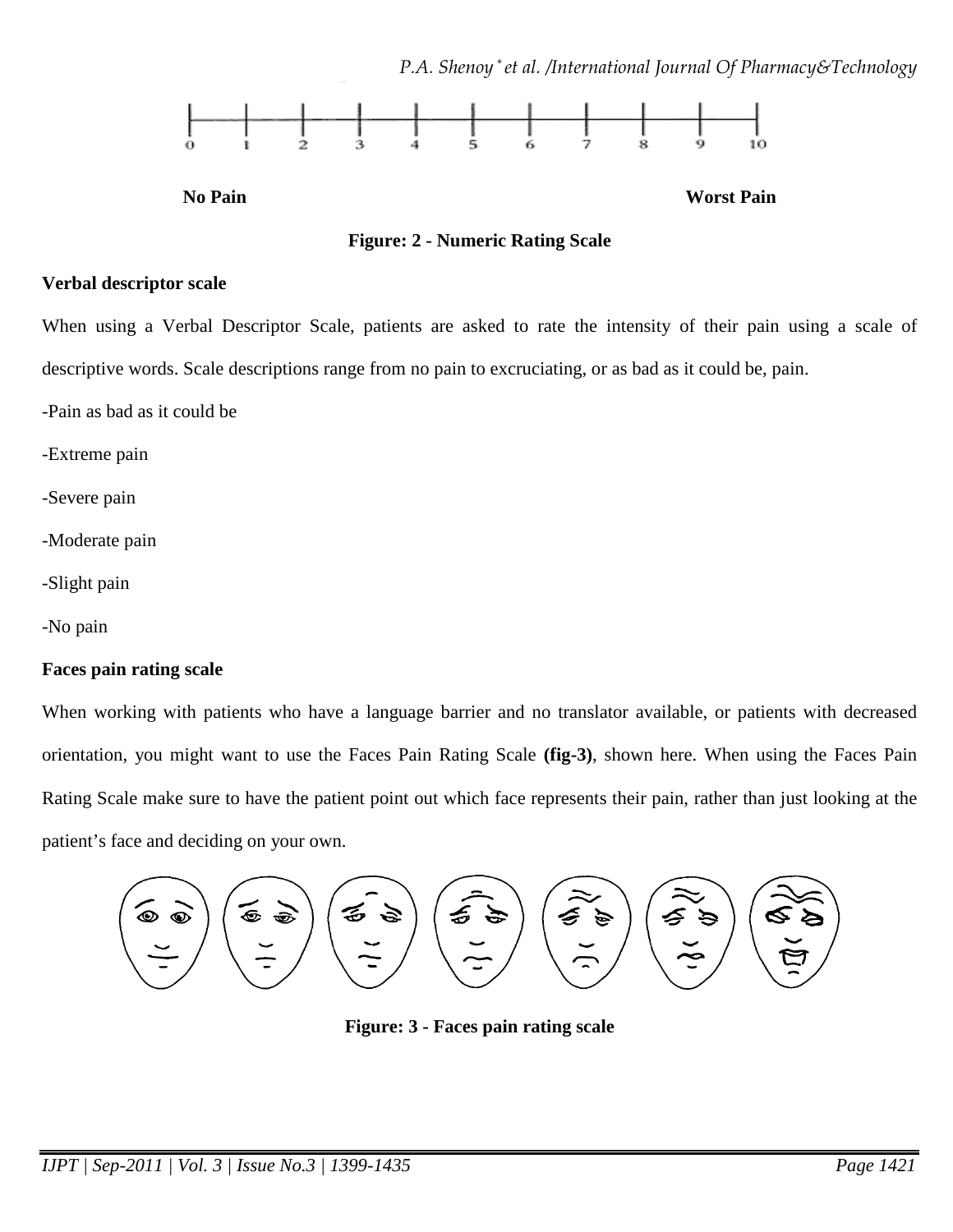

**No Pain Worst Pain** 



## **Verbal descriptor scale**

When using a Verbal Descriptor Scale, patients are asked to rate the intensity of their pain using a scale of descriptive words. Scale descriptions range from no pain to excruciating, or as bad as it could be, pain.

- -Pain as bad as it could be
- -Extreme pain
- -Severe pain
- -Moderate pain
- -Slight pain
- -No pain

## **Faces pain rating scale**

When working with patients who have a language barrier and no translator available, or patients with decreased orientation, you might want to use the Faces Pain Rating Scale **(fig-3)**, shown here. When using the Faces Pain Rating Scale make sure to have the patient point out which face represents their pain, rather than just looking at the patient's face and deciding on your own.



**Figure: 3 - Faces pain rating scale**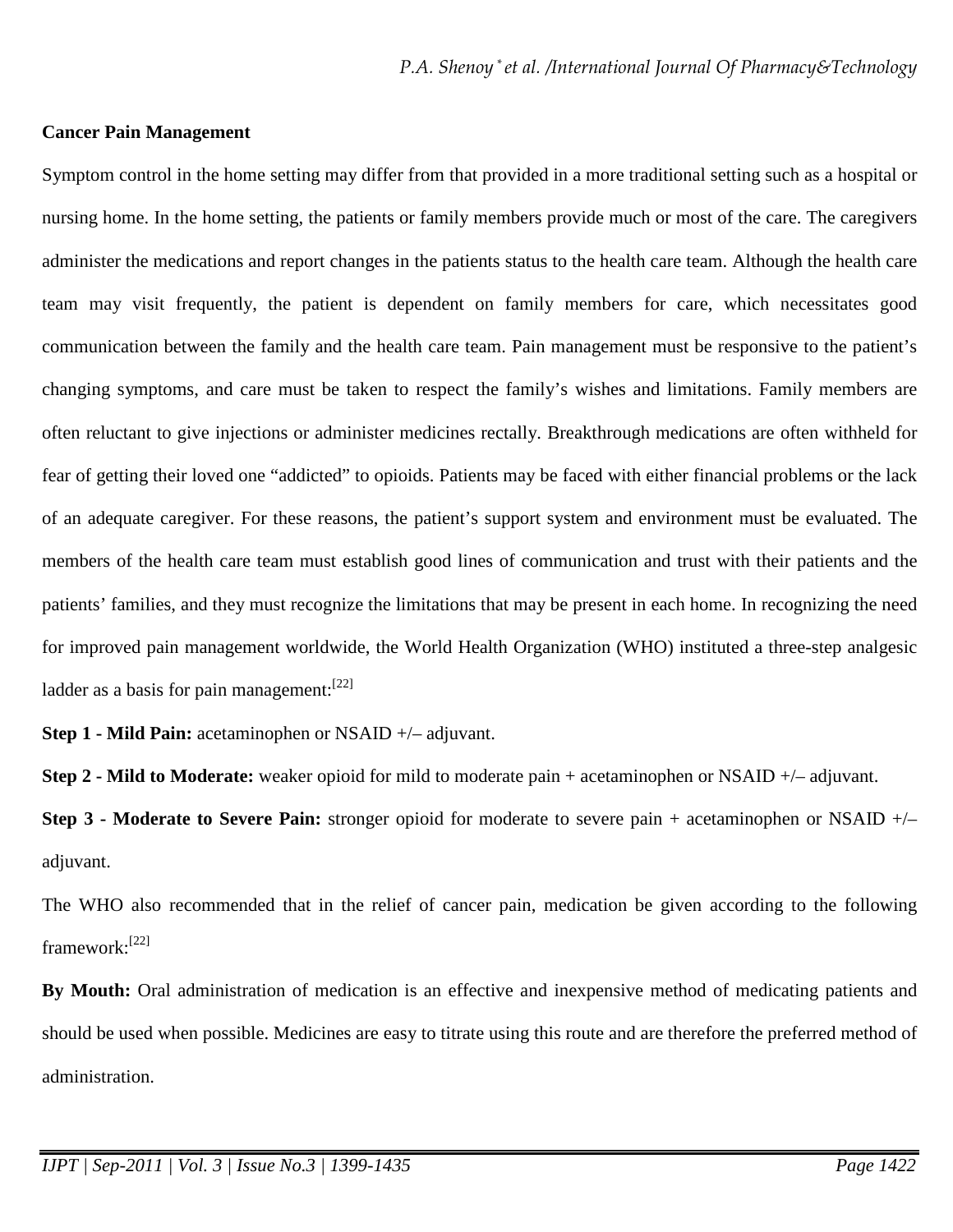#### **Cancer Pain Management**

Symptom control in the home setting may differ from that provided in a more traditional setting such as a hospital or nursing home. In the home setting, the patients or family members provide much or most of the care. The caregivers administer the medications and report changes in the patients status to the health care team. Although the health care team may visit frequently, the patient is dependent on family members for care, which necessitates good communication between the family and the health care team. Pain management must be responsive to the patient's changing symptoms, and care must be taken to respect the family's wishes and limitations. Family members are often reluctant to give injections or administer medicines rectally. Breakthrough medications are often withheld for fear of getting their loved one "addicted" to opioids. Patients may be faced with either financial problems or the lack of an adequate caregiver. For these reasons, the patient's support system and environment must be evaluated. The members of the health care team must establish good lines of communication and trust with their patients and the patients' families, and they must recognize the limitations that may be present in each home. In recognizing the need for improved pain management worldwide, the World Health Organization (WHO) instituted a three-step analgesic ladder as a basis for pain management:  $[22]$ 

**Step 1 - Mild Pain:** acetaminophen or NSAID +/– adjuvant.

**Step 2 - Mild to Moderate:** weaker opioid for mild to moderate pain + acetaminophen or NSAID +/– adjuvant.

**Step 3 - Moderate to Severe Pain:** stronger opioid for moderate to severe pain + acetaminophen or NSAID +/– adjuvant.

The WHO also recommended that in the relief of cancer pain, medication be given according to the following framework:[22]

**By Mouth:** Oral administration of medication is an effective and inexpensive method of medicating patients and should be used when possible. Medicines are easy to titrate using this route and are therefore the preferred method of administration.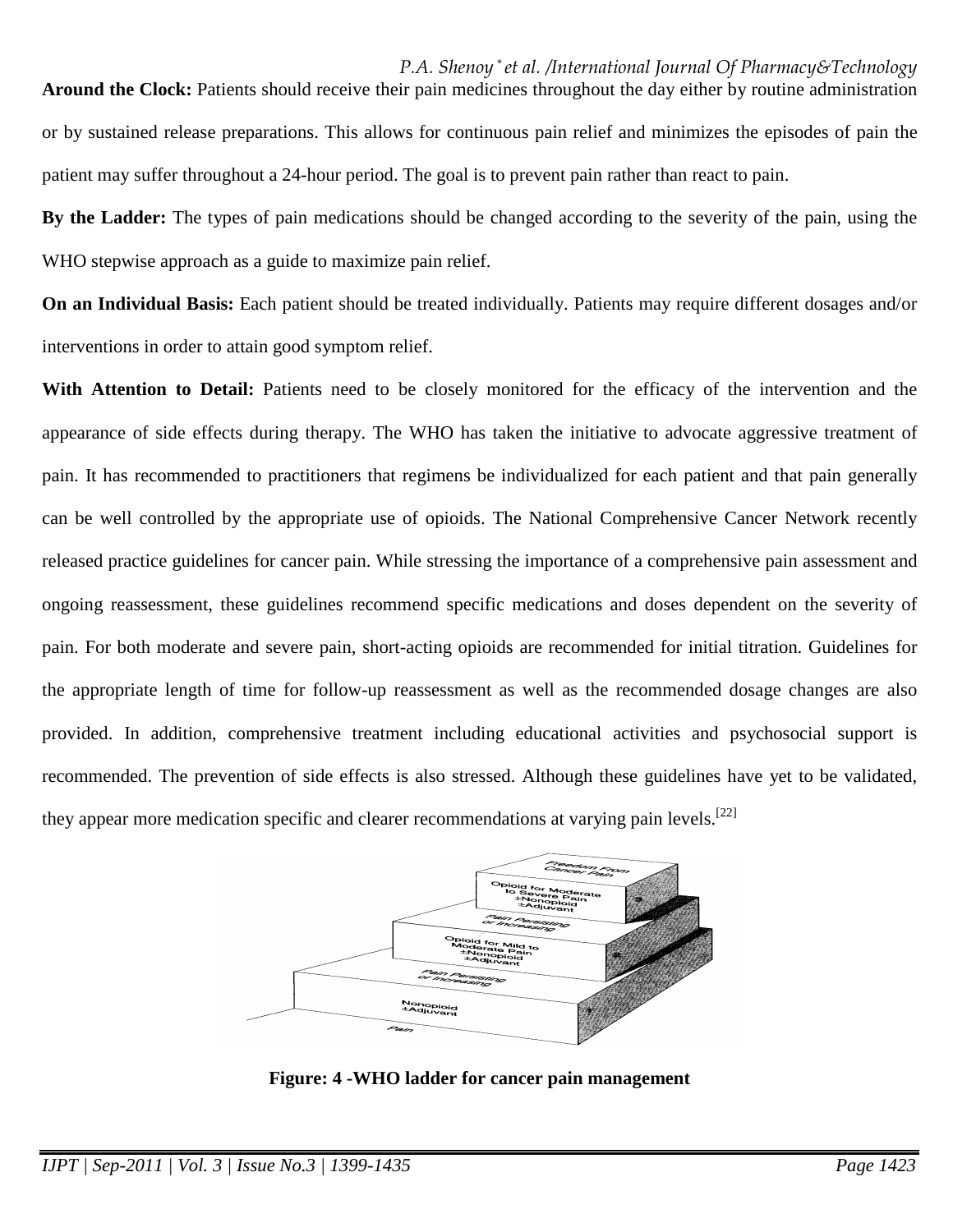*P.A. Shenoy \* et al. /International Journal Of Pharmacy&Technology* **Around the Clock:** Patients should receive their pain medicines throughout the day either by routine administration or by sustained release preparations. This allows for continuous pain relief and minimizes the episodes of pain the patient may suffer throughout a 24-hour period. The goal is to prevent pain rather than react to pain.

**By the Ladder:** The types of pain medications should be changed according to the severity of the pain, using the WHO stepwise approach as a guide to maximize pain relief.

**On an Individual Basis:** Each patient should be treated individually. Patients may require different dosages and/or interventions in order to attain good symptom relief.

**With Attention to Detail:** Patients need to be closely monitored for the efficacy of the intervention and the appearance of side effects during therapy. The WHO has taken the initiative to advocate aggressive treatment of pain. It has recommended to practitioners that regimens be individualized for each patient and that pain generally can be well controlled by the appropriate use of opioids. The National Comprehensive Cancer Network recently released practice guidelines for cancer pain. While stressing the importance of a comprehensive pain assessment and ongoing reassessment, these guidelines recommend specific medications and doses dependent on the severity of pain. For both moderate and severe pain, short-acting opioids are recommended for initial titration. Guidelines for the appropriate length of time for follow-up reassessment as well as the recommended dosage changes are also provided. In addition, comprehensive treatment including educational activities and psychosocial support is recommended. The prevention of side effects is also stressed. Although these guidelines have yet to be validated, they appear more medication specific and clearer recommendations at varying pain levels.<sup>[22]</sup>



**Figure: 4 -WHO ladder for cancer pain management**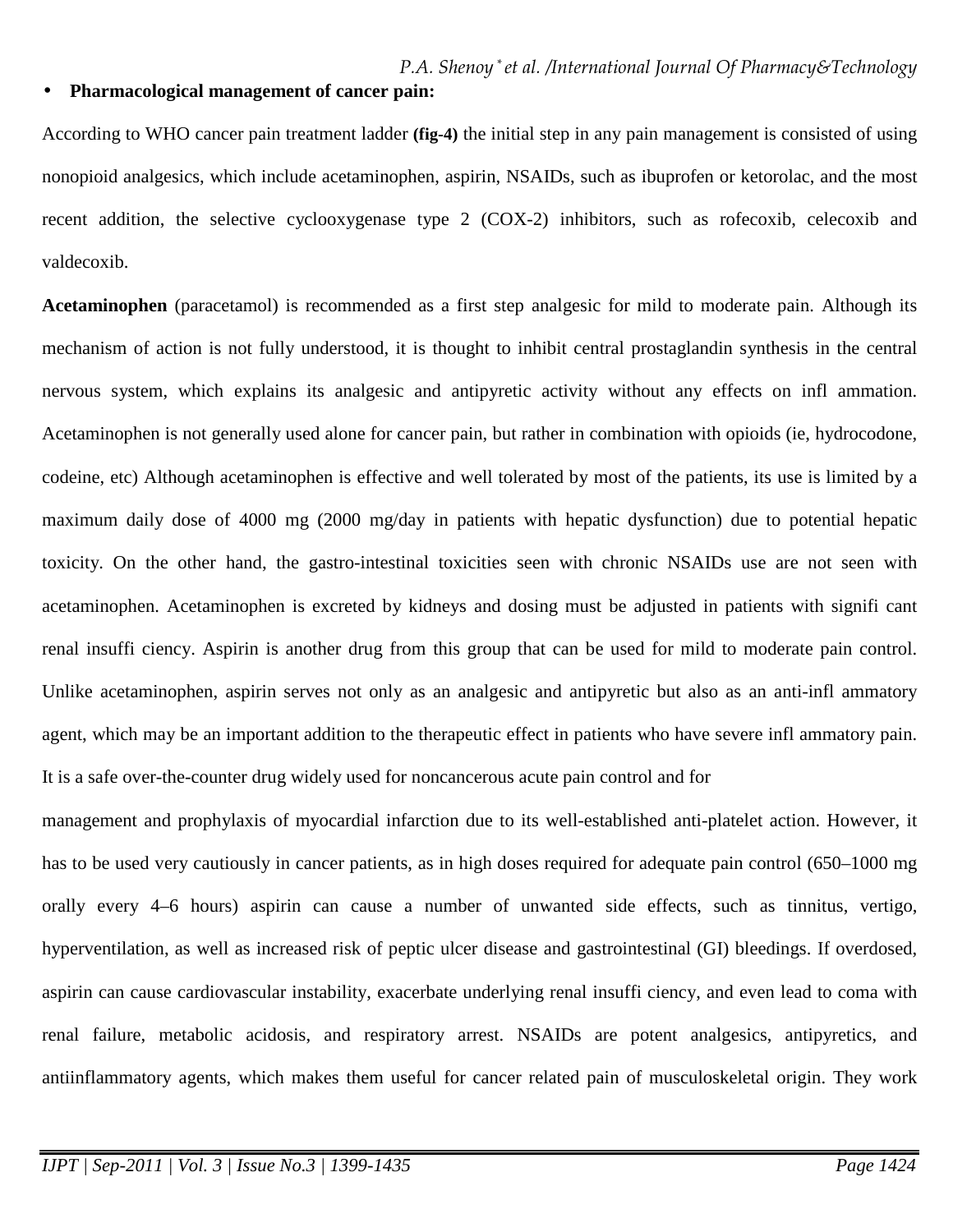#### • **Pharmacological management of cancer pain:**

According to WHO cancer pain treatment ladder **(fig-4)** the initial step in any pain management is consisted of using nonopioid analgesics, which include acetaminophen, aspirin, NSAIDs, such as ibuprofen or ketorolac, and the most recent addition, the selective cyclooxygenase type 2 (COX-2) inhibitors, such as rofecoxib, celecoxib and valdecoxib.

**Acetaminophen** (paracetamol) is recommended as a first step analgesic for mild to moderate pain. Although its mechanism of action is not fully understood, it is thought to inhibit central prostaglandin synthesis in the central nervous system, which explains its analgesic and antipyretic activity without any effects on infl ammation. Acetaminophen is not generally used alone for cancer pain, but rather in combination with opioids (ie, hydrocodone, codeine, etc) Although acetaminophen is effective and well tolerated by most of the patients, its use is limited by a maximum daily dose of 4000 mg (2000 mg/day in patients with hepatic dysfunction) due to potential hepatic toxicity. On the other hand, the gastro-intestinal toxicities seen with chronic NSAIDs use are not seen with acetaminophen. Acetaminophen is excreted by kidneys and dosing must be adjusted in patients with signifi cant renal insuffi ciency. Aspirin is another drug from this group that can be used for mild to moderate pain control. Unlike acetaminophen, aspirin serves not only as an analgesic and antipyretic but also as an anti-infl ammatory agent, which may be an important addition to the therapeutic effect in patients who have severe infl ammatory pain. It is a safe over-the-counter drug widely used for noncancerous acute pain control and for

management and prophylaxis of myocardial infarction due to its well-established anti-platelet action. However, it has to be used very cautiously in cancer patients, as in high doses required for adequate pain control (650–1000 mg orally every 4–6 hours) aspirin can cause a number of unwanted side effects, such as tinnitus, vertigo, hyperventilation, as well as increased risk of peptic ulcer disease and gastrointestinal (GI) bleedings. If overdosed, aspirin can cause cardiovascular instability, exacerbate underlying renal insuffi ciency, and even lead to coma with renal failure, metabolic acidosis, and respiratory arrest. NSAIDs are potent analgesics, antipyretics, and antiinflammatory agents, which makes them useful for cancer related pain of musculoskeletal origin. They work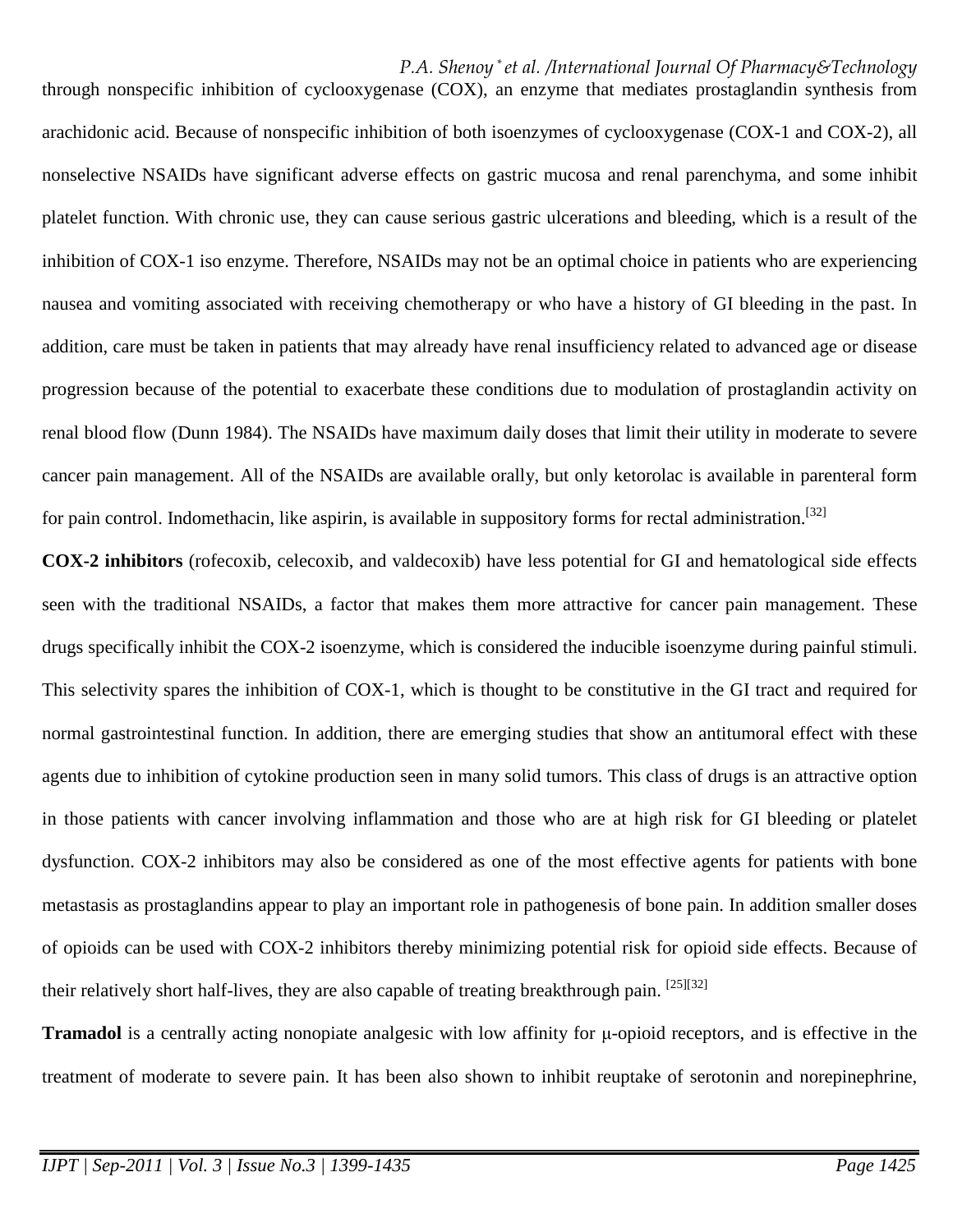through nonspecific inhibition of cyclooxygenase (COX), an enzyme that mediates prostaglandin synthesis from arachidonic acid. Because of nonspecific inhibition of both isoenzymes of cyclooxygenase (COX-1 and COX-2), all nonselective NSAIDs have significant adverse effects on gastric mucosa and renal parenchyma, and some inhibit platelet function. With chronic use, they can cause serious gastric ulcerations and bleeding, which is a result of the inhibition of COX-1 iso enzyme. Therefore, NSAIDs may not be an optimal choice in patients who are experiencing nausea and vomiting associated with receiving chemotherapy or who have a history of GI bleeding in the past. In addition, care must be taken in patients that may already have renal insufficiency related to advanced age or disease progression because of the potential to exacerbate these conditions due to modulation of prostaglandin activity on renal blood flow (Dunn 1984). The NSAIDs have maximum daily doses that limit their utility in moderate to severe cancer pain management. All of the NSAIDs are available orally, but only ketorolac is available in parenteral form for pain control. Indomethacin, like aspirin, is available in suppository forms for rectal administration.<sup>[32]</sup>

**COX-2 inhibitors** (rofecoxib, celecoxib, and valdecoxib) have less potential for GI and hematological side effects seen with the traditional NSAIDs, a factor that makes them more attractive for cancer pain management. These drugs specifically inhibit the COX-2 isoenzyme, which is considered the inducible isoenzyme during painful stimuli. This selectivity spares the inhibition of COX-1, which is thought to be constitutive in the GI tract and required for normal gastrointestinal function. In addition, there are emerging studies that show an antitumoral effect with these agents due to inhibition of cytokine production seen in many solid tumors. This class of drugs is an attractive option in those patients with cancer involving inflammation and those who are at high risk for GI bleeding or platelet dysfunction. COX-2 inhibitors may also be considered as one of the most effective agents for patients with bone metastasis as prostaglandins appear to play an important role in pathogenesis of bone pain. In addition smaller doses of opioids can be used with COX-2 inhibitors thereby minimizing potential risk for opioid side effects. Because of their relatively short half-lives, they are also capable of treating breakthrough pain.  $^{[25][32]}$ 

**Tramadol** is a centrally acting nonopiate analgesic with low affinity for µ-opioid receptors, and is effective in the treatment of moderate to severe pain. It has been also shown to inhibit reuptake of serotonin and norepinephrine,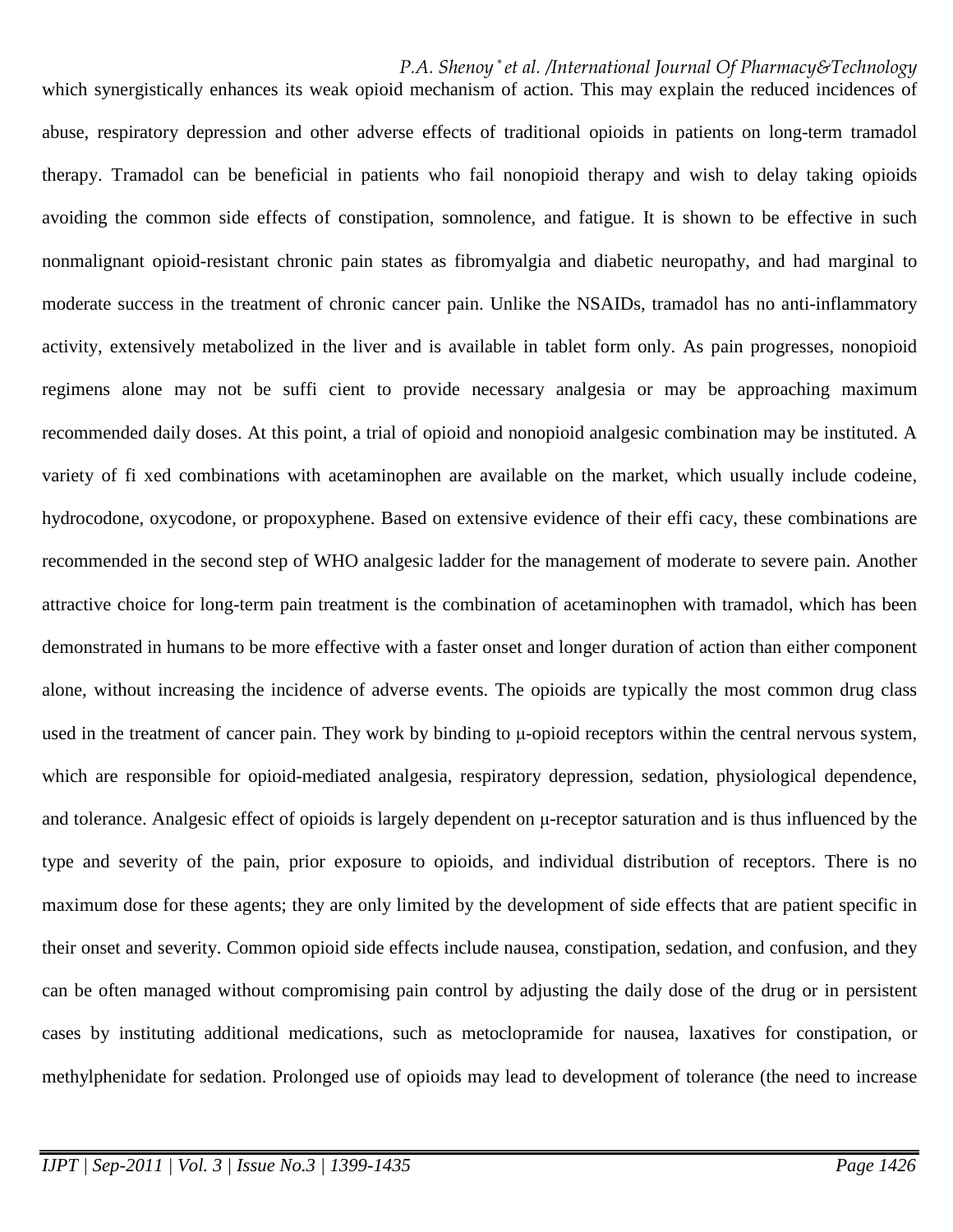which synergistically enhances its weak opioid mechanism of action. This may explain the reduced incidences of abuse, respiratory depression and other adverse effects of traditional opioids in patients on long-term tramadol therapy. Tramadol can be beneficial in patients who fail nonopioid therapy and wish to delay taking opioids avoiding the common side effects of constipation, somnolence, and fatigue. It is shown to be effective in such nonmalignant opioid-resistant chronic pain states as fibromyalgia and diabetic neuropathy, and had marginal to moderate success in the treatment of chronic cancer pain. Unlike the NSAIDs, tramadol has no anti-inflammatory activity, extensively metabolized in the liver and is available in tablet form only. As pain progresses, nonopioid regimens alone may not be suffi cient to provide necessary analgesia or may be approaching maximum recommended daily doses. At this point, a trial of opioid and nonopioid analgesic combination may be instituted. A variety of fi xed combinations with acetaminophen are available on the market, which usually include codeine, hydrocodone, oxycodone, or propoxyphene. Based on extensive evidence of their effi cacy, these combinations are recommended in the second step of WHO analgesic ladder for the management of moderate to severe pain. Another attractive choice for long-term pain treatment is the combination of acetaminophen with tramadol, which has been demonstrated in humans to be more effective with a faster onset and longer duration of action than either component alone, without increasing the incidence of adverse events. The opioids are typically the most common drug class used in the treatment of cancer pain. They work by binding to µ-opioid receptors within the central nervous system, which are responsible for opioid-mediated analgesia, respiratory depression, sedation, physiological dependence, and tolerance. Analgesic effect of opioids is largely dependent on µ-receptor saturation and is thus influenced by the type and severity of the pain, prior exposure to opioids, and individual distribution of receptors. There is no maximum dose for these agents; they are only limited by the development of side effects that are patient specific in their onset and severity. Common opioid side effects include nausea, constipation, sedation, and confusion, and they can be often managed without compromising pain control by adjusting the daily dose of the drug or in persistent cases by instituting additional medications, such as metoclopramide for nausea, laxatives for constipation, or methylphenidate for sedation. Prolonged use of opioids may lead to development of tolerance (the need to increase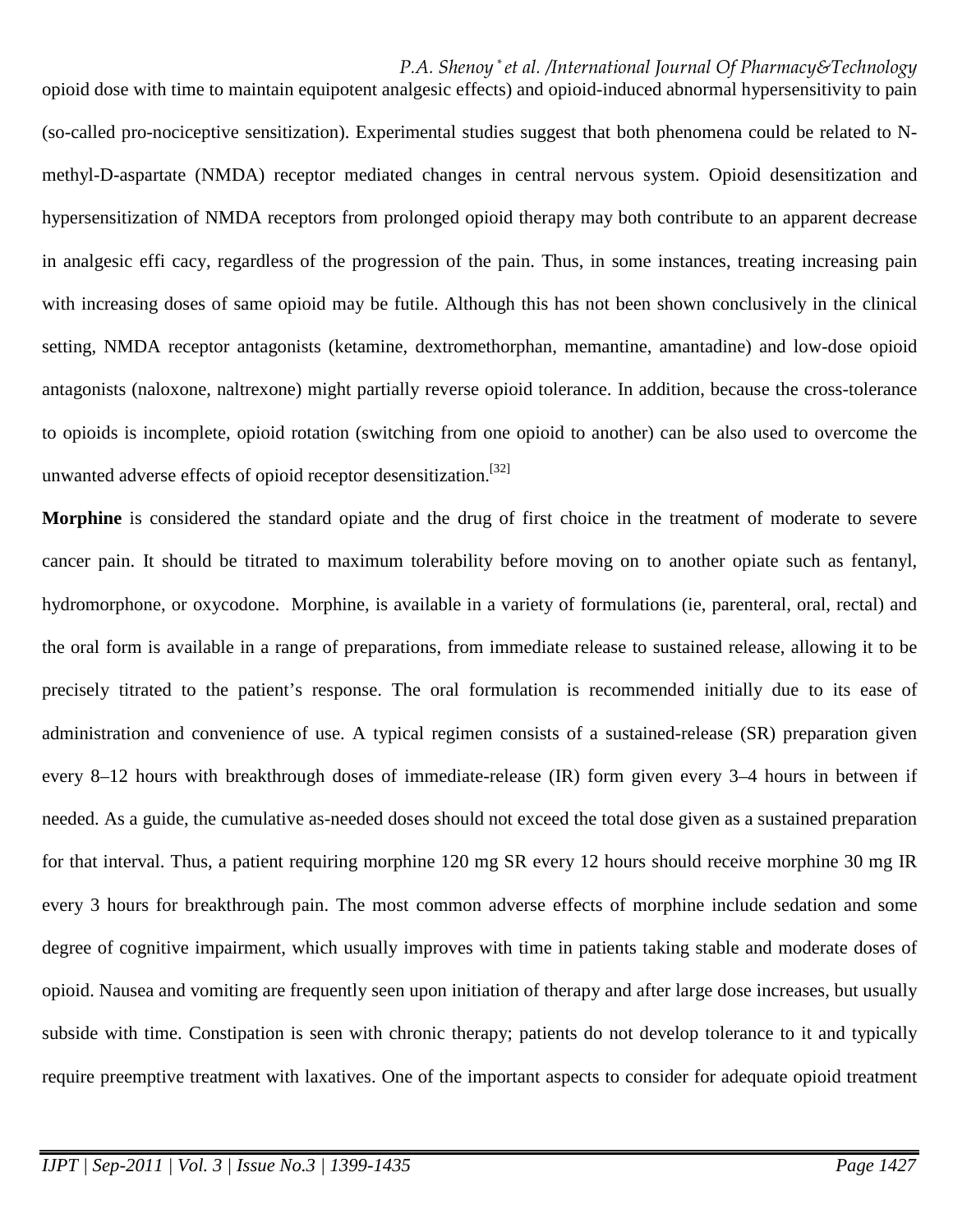opioid dose with time to maintain equipotent analgesic effects) and opioid-induced abnormal hypersensitivity to pain (so-called pro-nociceptive sensitization). Experimental studies suggest that both phenomena could be related to Nmethyl-D-aspartate (NMDA) receptor mediated changes in central nervous system. Opioid desensitization and hypersensitization of NMDA receptors from prolonged opioid therapy may both contribute to an apparent decrease in analgesic effi cacy, regardless of the progression of the pain. Thus, in some instances, treating increasing pain with increasing doses of same opioid may be futile. Although this has not been shown conclusively in the clinical setting, NMDA receptor antagonists (ketamine, dextromethorphan, memantine, amantadine) and low-dose opioid antagonists (naloxone, naltrexone) might partially reverse opioid tolerance. In addition, because the cross-tolerance to opioids is incomplete, opioid rotation (switching from one opioid to another) can be also used to overcome the unwanted adverse effects of opioid receptor desensitization.[32]

**Morphine** is considered the standard opiate and the drug of first choice in the treatment of moderate to severe cancer pain. It should be titrated to maximum tolerability before moving on to another opiate such as fentanyl, hydromorphone, or oxycodone. Morphine, is available in a variety of formulations (ie, parenteral, oral, rectal) and the oral form is available in a range of preparations, from immediate release to sustained release, allowing it to be precisely titrated to the patient's response. The oral formulation is recommended initially due to its ease of administration and convenience of use. A typical regimen consists of a sustained-release (SR) preparation given every 8–12 hours with breakthrough doses of immediate-release (IR) form given every 3–4 hours in between if needed. As a guide, the cumulative as-needed doses should not exceed the total dose given as a sustained preparation for that interval. Thus, a patient requiring morphine 120 mg SR every 12 hours should receive morphine 30 mg IR every 3 hours for breakthrough pain. The most common adverse effects of morphine include sedation and some degree of cognitive impairment, which usually improves with time in patients taking stable and moderate doses of opioid. Nausea and vomiting are frequently seen upon initiation of therapy and after large dose increases, but usually subside with time. Constipation is seen with chronic therapy; patients do not develop tolerance to it and typically require preemptive treatment with laxatives. One of the important aspects to consider for adequate opioid treatment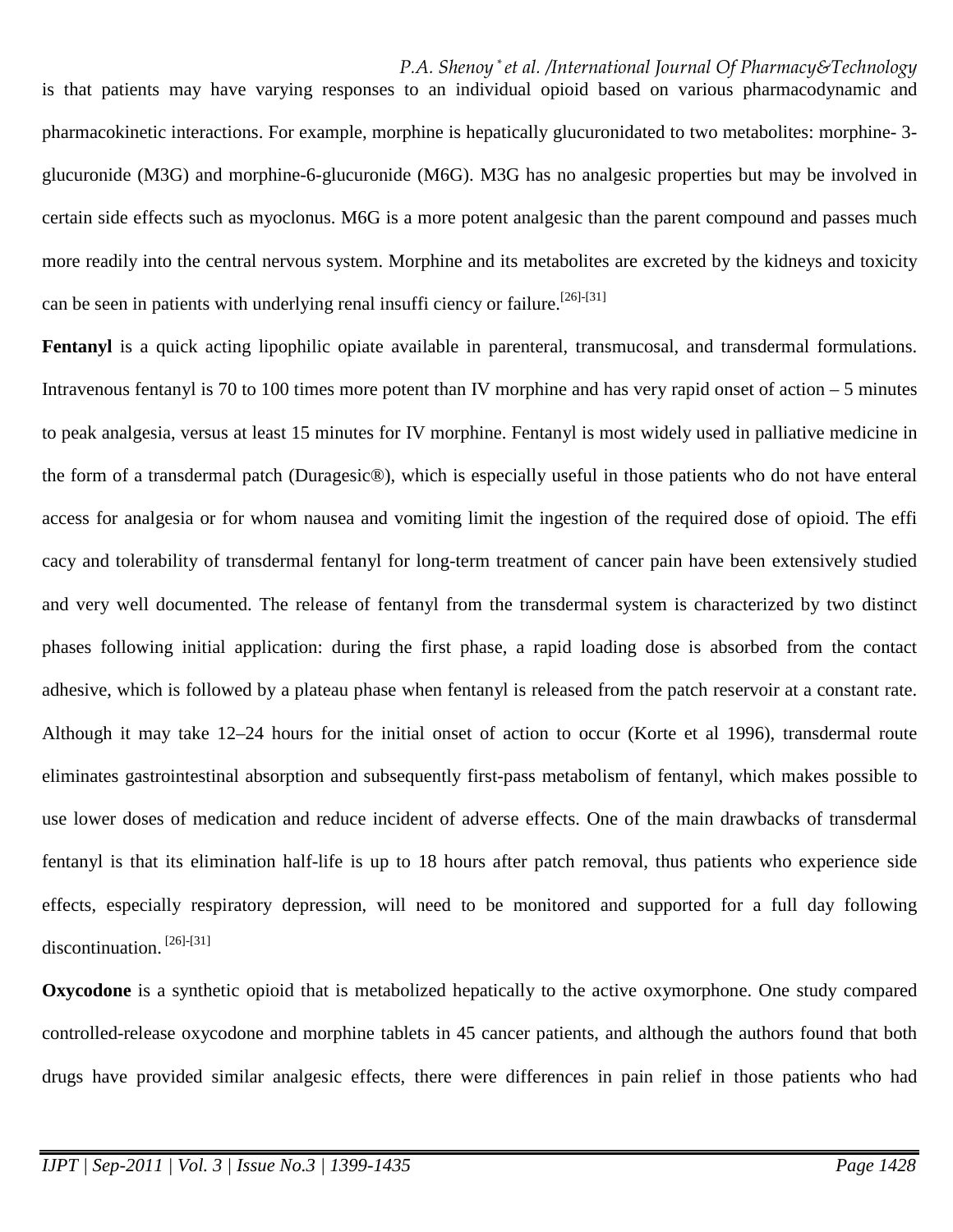*P.A. Shenoy \* et al. /International Journal Of Pharmacy&Technology* is that patients may have varying responses to an individual opioid based on various pharmacodynamic and pharmacokinetic interactions. For example, morphine is hepatically glucuronidated to two metabolites: morphine- 3 glucuronide (M3G) and morphine-6-glucuronide (M6G). M3G has no analgesic properties but may be involved in certain side effects such as myoclonus. M6G is a more potent analgesic than the parent compound and passes much more readily into the central nervous system. Morphine and its metabolites are excreted by the kidneys and toxicity can be seen in patients with underlying renal insuffi ciency or failure.<sup>[26]-[31]</sup>

**Fentanyl** is a quick acting lipophilic opiate available in parenteral, transmucosal, and transdermal formulations. Intravenous fentanyl is 70 to 100 times more potent than IV morphine and has very rapid onset of action – 5 minutes to peak analgesia, versus at least 15 minutes for IV morphine. Fentanyl is most widely used in palliative medicine in the form of a transdermal patch (Duragesic®), which is especially useful in those patients who do not have enteral access for analgesia or for whom nausea and vomiting limit the ingestion of the required dose of opioid. The effi cacy and tolerability of transdermal fentanyl for long-term treatment of cancer pain have been extensively studied and very well documented. The release of fentanyl from the transdermal system is characterized by two distinct phases following initial application: during the first phase, a rapid loading dose is absorbed from the contact adhesive, which is followed by a plateau phase when fentanyl is released from the patch reservoir at a constant rate. Although it may take 12–24 hours for the initial onset of action to occur (Korte et al 1996), transdermal route eliminates gastrointestinal absorption and subsequently first-pass metabolism of fentanyl, which makes possible to use lower doses of medication and reduce incident of adverse effects. One of the main drawbacks of transdermal fentanyl is that its elimination half-life is up to 18 hours after patch removal, thus patients who experience side effects, especially respiratory depression, will need to be monitored and supported for a full day following discontinuation. [26]-[31]

**Oxycodone** is a synthetic opioid that is metabolized hepatically to the active oxymorphone. One study compared controlled-release oxycodone and morphine tablets in 45 cancer patients, and although the authors found that both drugs have provided similar analgesic effects, there were differences in pain relief in those patients who had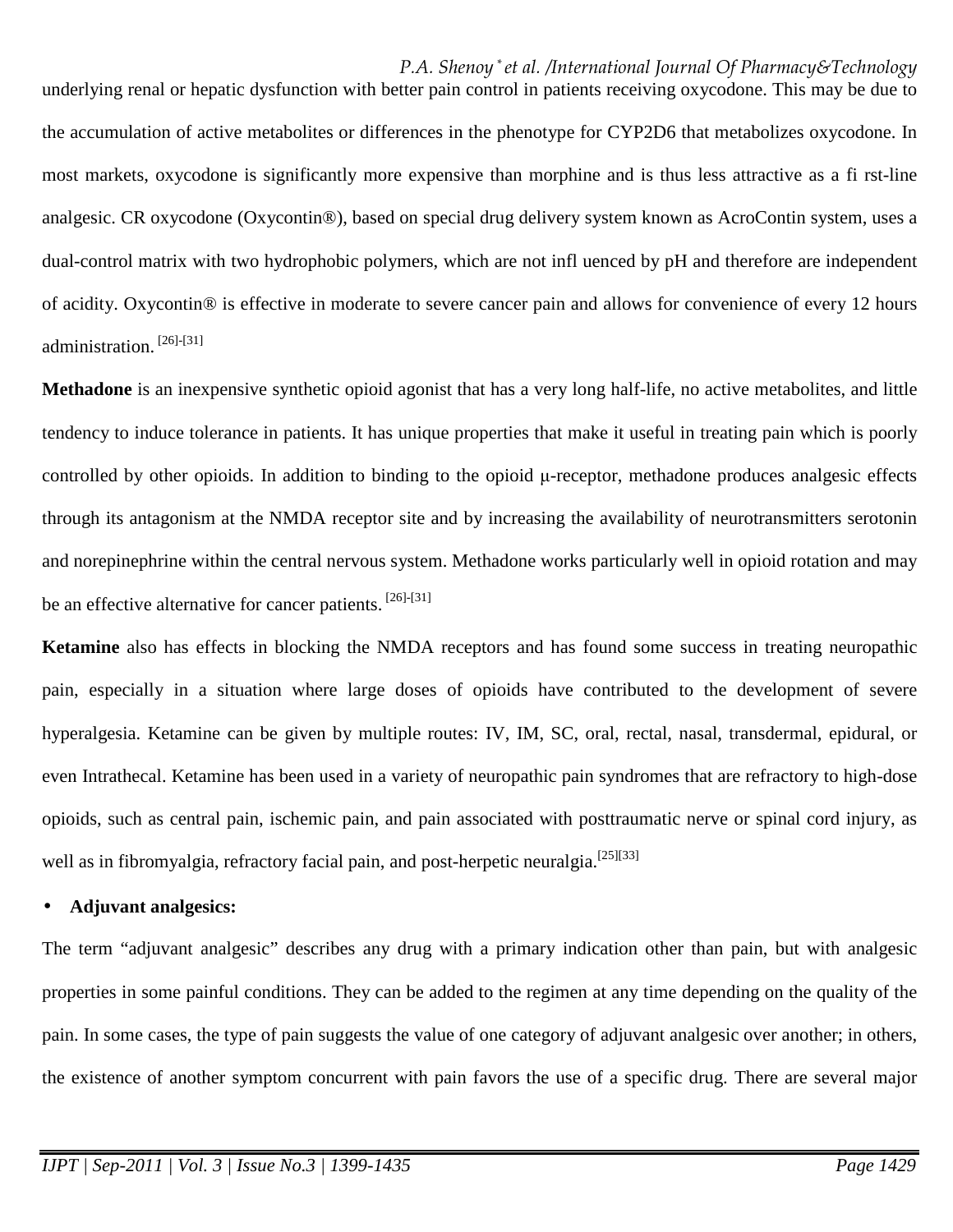*P.A. Shenoy \* et al. /International Journal Of Pharmacy&Technology* underlying renal or hepatic dysfunction with better pain control in patients receiving oxycodone. This may be due to the accumulation of active metabolites or differences in the phenotype for CYP2D6 that metabolizes oxycodone. In most markets, oxycodone is significantly more expensive than morphine and is thus less attractive as a fi rst-line analgesic. CR oxycodone (Oxycontin®), based on special drug delivery system known as AcroContin system, uses a dual-control matrix with two hydrophobic polymers, which are not infl uenced by pH and therefore are independent of acidity. Oxycontin® is effective in moderate to severe cancer pain and allows for convenience of every 12 hours administration. [26]-[31]

**Methadone** is an inexpensive synthetic opioid agonist that has a very long half-life, no active metabolites, and little tendency to induce tolerance in patients. It has unique properties that make it useful in treating pain which is poorly controlled by other opioids. In addition to binding to the opioid  $\mu$ -receptor, methadone produces analgesic effects through its antagonism at the NMDA receptor site and by increasing the availability of neurotransmitters serotonin and norepinephrine within the central nervous system. Methadone works particularly well in opioid rotation and may be an effective alternative for cancer patients. [26]-[31]

**Ketamine** also has effects in blocking the NMDA receptors and has found some success in treating neuropathic pain, especially in a situation where large doses of opioids have contributed to the development of severe hyperalgesia. Ketamine can be given by multiple routes: IV, IM, SC, oral, rectal, nasal, transdermal, epidural, or even Intrathecal. Ketamine has been used in a variety of neuropathic pain syndromes that are refractory to high-dose opioids, such as central pain, ischemic pain, and pain associated with posttraumatic nerve or spinal cord injury, as well as in fibromyalgia, refractory facial pain, and post-herpetic neuralgia.<sup>[25][33]</sup>

## • **Adjuvant analgesics:**

The term "adjuvant analgesic" describes any drug with a primary indication other than pain, but with analgesic properties in some painful conditions. They can be added to the regimen at any time depending on the quality of the pain. In some cases, the type of pain suggests the value of one category of adjuvant analgesic over another; in others, the existence of another symptom concurrent with pain favors the use of a specific drug. There are several major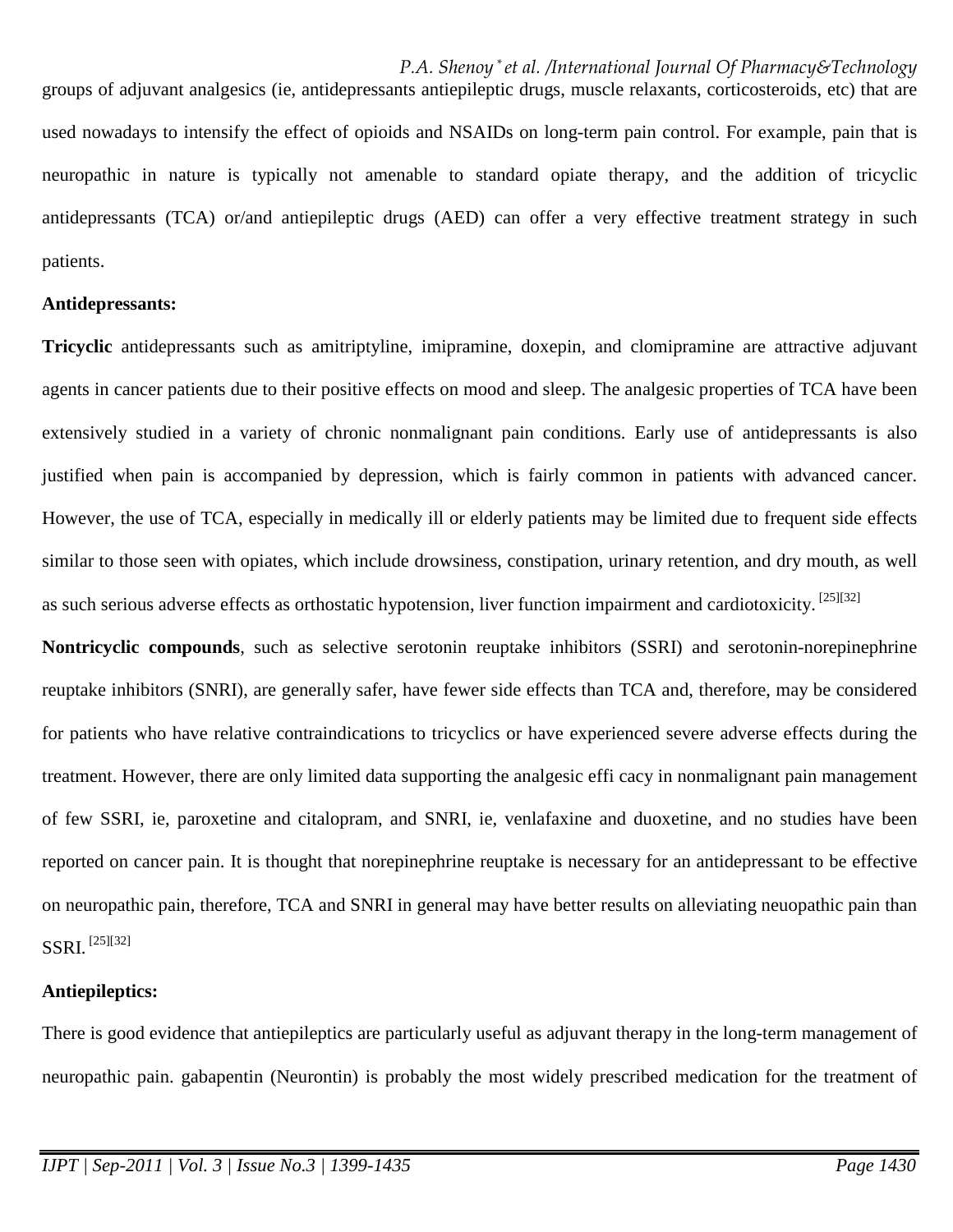*P.A. Shenoy \* et al. /International Journal Of Pharmacy&Technology* groups of adjuvant analgesics (ie, antidepressants antiepileptic drugs, muscle relaxants, corticosteroids, etc) that are used nowadays to intensify the effect of opioids and NSAIDs on long-term pain control. For example, pain that is neuropathic in nature is typically not amenable to standard opiate therapy, and the addition of tricyclic antidepressants (TCA) or/and antiepileptic drugs (AED) can offer a very effective treatment strategy in such patients.

#### **Antidepressants:**

**Tricyclic** antidepressants such as amitriptyline, imipramine, doxepin, and clomipramine are attractive adjuvant agents in cancer patients due to their positive effects on mood and sleep. The analgesic properties of TCA have been extensively studied in a variety of chronic nonmalignant pain conditions. Early use of antidepressants is also justified when pain is accompanied by depression, which is fairly common in patients with advanced cancer. However, the use of TCA, especially in medically ill or elderly patients may be limited due to frequent side effects similar to those seen with opiates, which include drowsiness, constipation, urinary retention, and dry mouth, as well as such serious adverse effects as orthostatic hypotension, liver function impairment and cardiotoxicity. <sup>[25][32]</sup>

**Nontricyclic compounds**, such as selective serotonin reuptake inhibitors (SSRI) and serotonin-norepinephrine reuptake inhibitors (SNRI), are generally safer, have fewer side effects than TCA and, therefore, may be considered for patients who have relative contraindications to tricyclics or have experienced severe adverse effects during the treatment. However, there are only limited data supporting the analgesic effi cacy in nonmalignant pain management of few SSRI, ie, paroxetine and citalopram, and SNRI, ie, venlafaxine and duoxetine, and no studies have been reported on cancer pain. It is thought that norepinephrine reuptake is necessary for an antidepressant to be effective on neuropathic pain, therefore, TCA and SNRI in general may have better results on alleviating neuopathic pain than  $SSRI.$   $^{[25][32]}$ 

#### **Antiepileptics:**

There is good evidence that antiepileptics are particularly useful as adjuvant therapy in the long-term management of neuropathic pain. gabapentin (Neurontin) is probably the most widely prescribed medication for the treatment of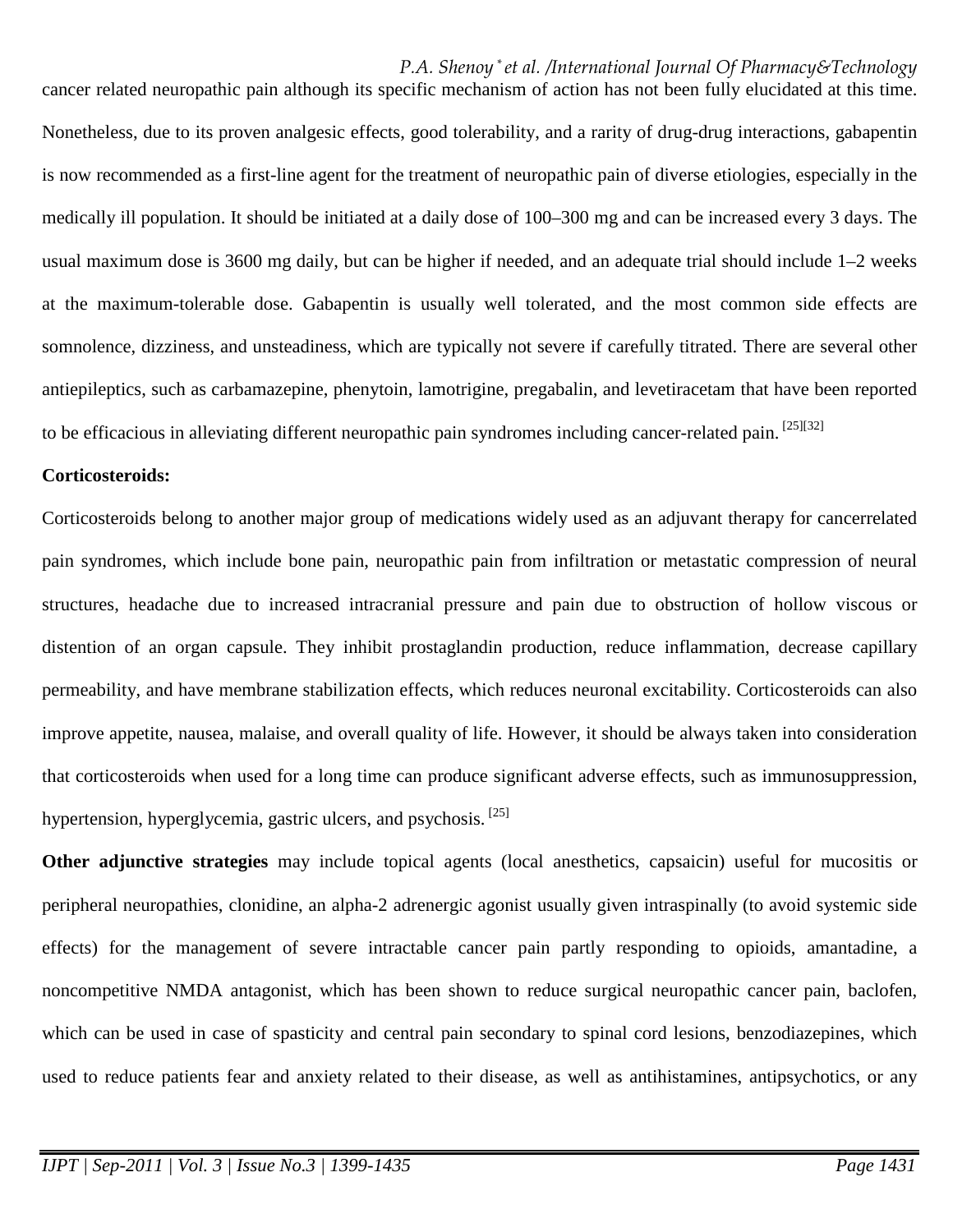*P.A. Shenoy \* et al. /International Journal Of Pharmacy&Technology* cancer related neuropathic pain although its specific mechanism of action has not been fully elucidated at this time. Nonetheless, due to its proven analgesic effects, good tolerability, and a rarity of drug-drug interactions, gabapentin is now recommended as a first-line agent for the treatment of neuropathic pain of diverse etiologies, especially in the medically ill population. It should be initiated at a daily dose of 100–300 mg and can be increased every 3 days. The usual maximum dose is 3600 mg daily, but can be higher if needed, and an adequate trial should include 1–2 weeks at the maximum-tolerable dose. Gabapentin is usually well tolerated, and the most common side effects are somnolence, dizziness, and unsteadiness, which are typically not severe if carefully titrated. There are several other antiepileptics, such as carbamazepine, phenytoin, lamotrigine, pregabalin, and levetiracetam that have been reported to be efficacious in alleviating different neuropathic pain syndromes including cancer-related pain. [25][32]

## **Corticosteroids:**

Corticosteroids belong to another major group of medications widely used as an adjuvant therapy for cancerrelated pain syndromes, which include bone pain, neuropathic pain from infiltration or metastatic compression of neural structures, headache due to increased intracranial pressure and pain due to obstruction of hollow viscous or distention of an organ capsule. They inhibit prostaglandin production, reduce inflammation, decrease capillary permeability, and have membrane stabilization effects, which reduces neuronal excitability. Corticosteroids can also improve appetite, nausea, malaise, and overall quality of life. However, it should be always taken into consideration that corticosteroids when used for a long time can produce significant adverse effects, such as immunosuppression, hypertension, hyperglycemia, gastric ulcers, and psychosis.<sup>[25]</sup>

**Other adjunctive strategies** may include topical agents (local anesthetics, capsaicin) useful for mucositis or peripheral neuropathies, clonidine, an alpha-2 adrenergic agonist usually given intraspinally (to avoid systemic side effects) for the management of severe intractable cancer pain partly responding to opioids, amantadine, a noncompetitive NMDA antagonist, which has been shown to reduce surgical neuropathic cancer pain, baclofen, which can be used in case of spasticity and central pain secondary to spinal cord lesions, benzodiazepines, which used to reduce patients fear and anxiety related to their disease, as well as antihistamines, antipsychotics, or any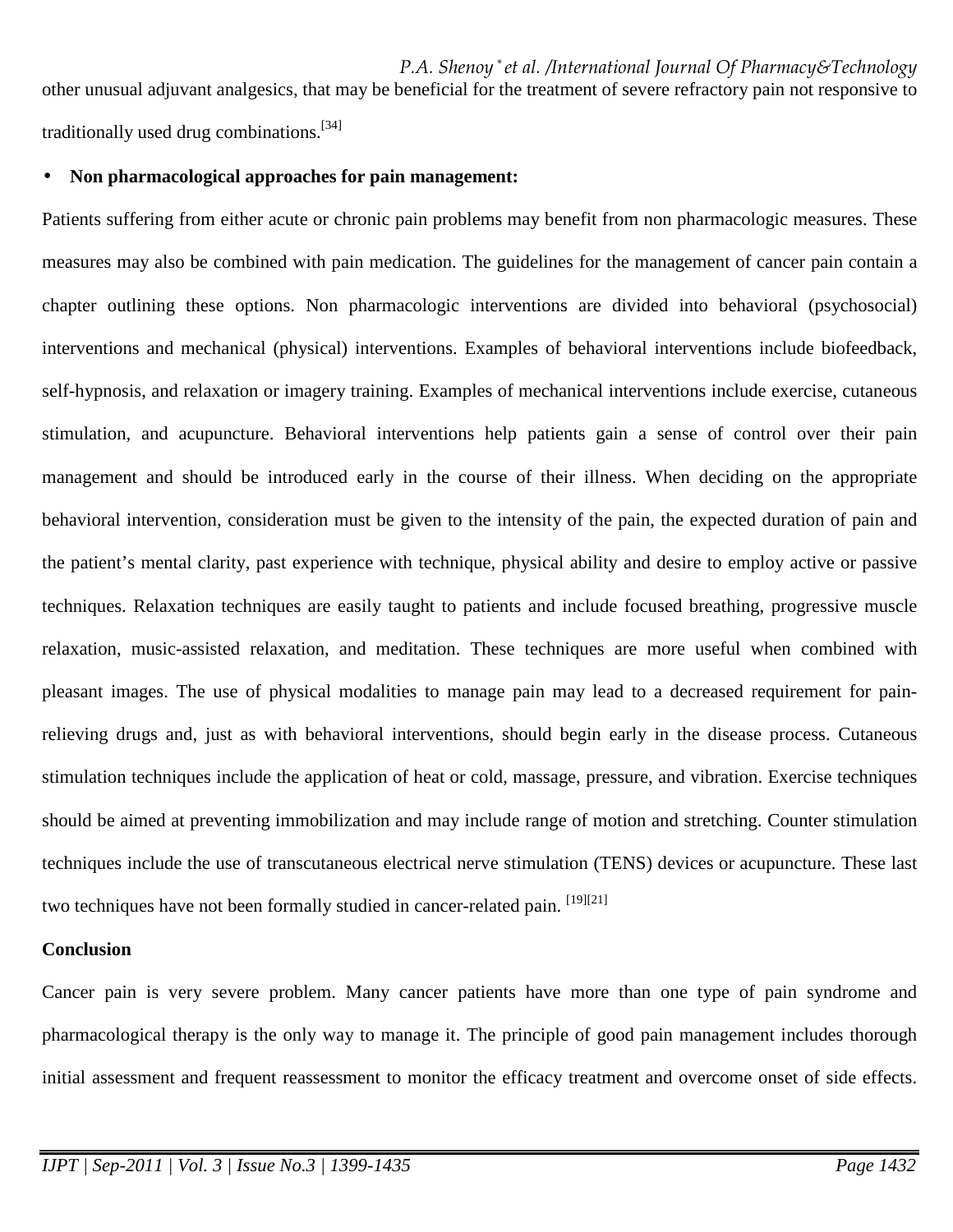*P.A. Shenoy \* et al. /International Journal Of Pharmacy&Technology* other unusual adjuvant analgesics, that may be beneficial for the treatment of severe refractory pain not responsive to traditionally used drug combinations.[34]

#### • **Non pharmacological approaches for pain management:**

Patients suffering from either acute or chronic pain problems may benefit from non pharmacologic measures. These measures may also be combined with pain medication. The guidelines for the management of cancer pain contain a chapter outlining these options. Non pharmacologic interventions are divided into behavioral (psychosocial) interventions and mechanical (physical) interventions. Examples of behavioral interventions include biofeedback, self-hypnosis, and relaxation or imagery training. Examples of mechanical interventions include exercise, cutaneous stimulation, and acupuncture. Behavioral interventions help patients gain a sense of control over their pain management and should be introduced early in the course of their illness. When deciding on the appropriate behavioral intervention, consideration must be given to the intensity of the pain, the expected duration of pain and the patient's mental clarity, past experience with technique, physical ability and desire to employ active or passive techniques. Relaxation techniques are easily taught to patients and include focused breathing, progressive muscle relaxation, music-assisted relaxation, and meditation. These techniques are more useful when combined with pleasant images. The use of physical modalities to manage pain may lead to a decreased requirement for painrelieving drugs and, just as with behavioral interventions, should begin early in the disease process. Cutaneous stimulation techniques include the application of heat or cold, massage, pressure, and vibration. Exercise techniques should be aimed at preventing immobilization and may include range of motion and stretching. Counter stimulation techniques include the use of transcutaneous electrical nerve stimulation (TENS) devices or acupuncture. These last two techniques have not been formally studied in cancer-related pain. [19][21]

## **Conclusion**

Cancer pain is very severe problem. Many cancer patients have more than one type of pain syndrome and pharmacological therapy is the only way to manage it. The principle of good pain management includes thorough initial assessment and frequent reassessment to monitor the efficacy treatment and overcome onset of side effects.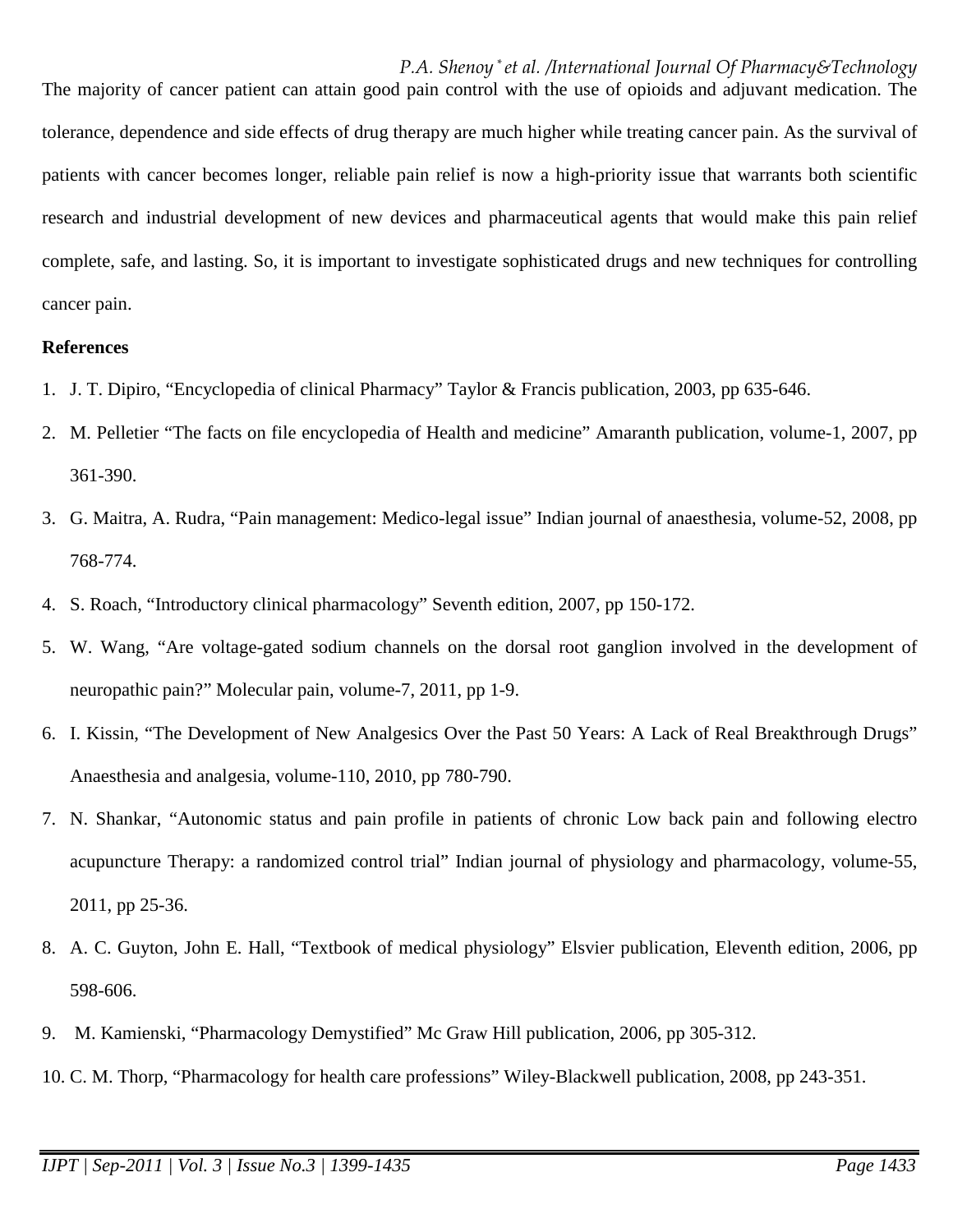*P.A. Shenoy \* et al. /International Journal Of Pharmacy&Technology* The majority of cancer patient can attain good pain control with the use of opioids and adjuvant medication. The tolerance, dependence and side effects of drug therapy are much higher while treating cancer pain. As the survival of patients with cancer becomes longer, reliable pain relief is now a high-priority issue that warrants both scientific research and industrial development of new devices and pharmaceutical agents that would make this pain relief complete, safe, and lasting. So, it is important to investigate sophisticated drugs and new techniques for controlling cancer pain.

## **References**

- 1. J. T. Dipiro, "Encyclopedia of clinical Pharmacy" Taylor & Francis publication, 2003, pp 635-646.
- 2. M. Pelletier "The facts on file encyclopedia of Health and medicine" Amaranth publication, volume-1, 2007, pp 361-390.
- 3. G. Maitra, A. Rudra, "Pain management: Medico-legal issue" Indian journal of anaesthesia, volume-52, 2008, pp 768-774.
- 4. S. Roach, "Introductory clinical pharmacology" Seventh edition, 2007, pp 150-172.
- 5. W. Wang, "Are voltage-gated sodium channels on the dorsal root ganglion involved in the development of neuropathic pain?" Molecular pain, volume-7, 2011, pp 1-9.
- 6. I. Kissin, "The Development of New Analgesics Over the Past 50 Years: A Lack of Real Breakthrough Drugs" Anaesthesia and analgesia, volume-110, 2010, pp 780-790.
- 7. N. Shankar, "Autonomic status and pain profile in patients of chronic Low back pain and following electro acupuncture Therapy: a randomized control trial" Indian journal of physiology and pharmacology, volume-55, 2011, pp 25-36.
- 8. A. C. Guyton, John E. Hall, "Textbook of medical physiology" Elsvier publication, Eleventh edition, 2006, pp 598-606.
- 9. M. Kamienski, "Pharmacology Demystified" Mc Graw Hill publication, 2006, pp 305-312.
- 10. C. M. Thorp, "Pharmacology for health care professions" Wiley-Blackwell publication, 2008, pp 243-351.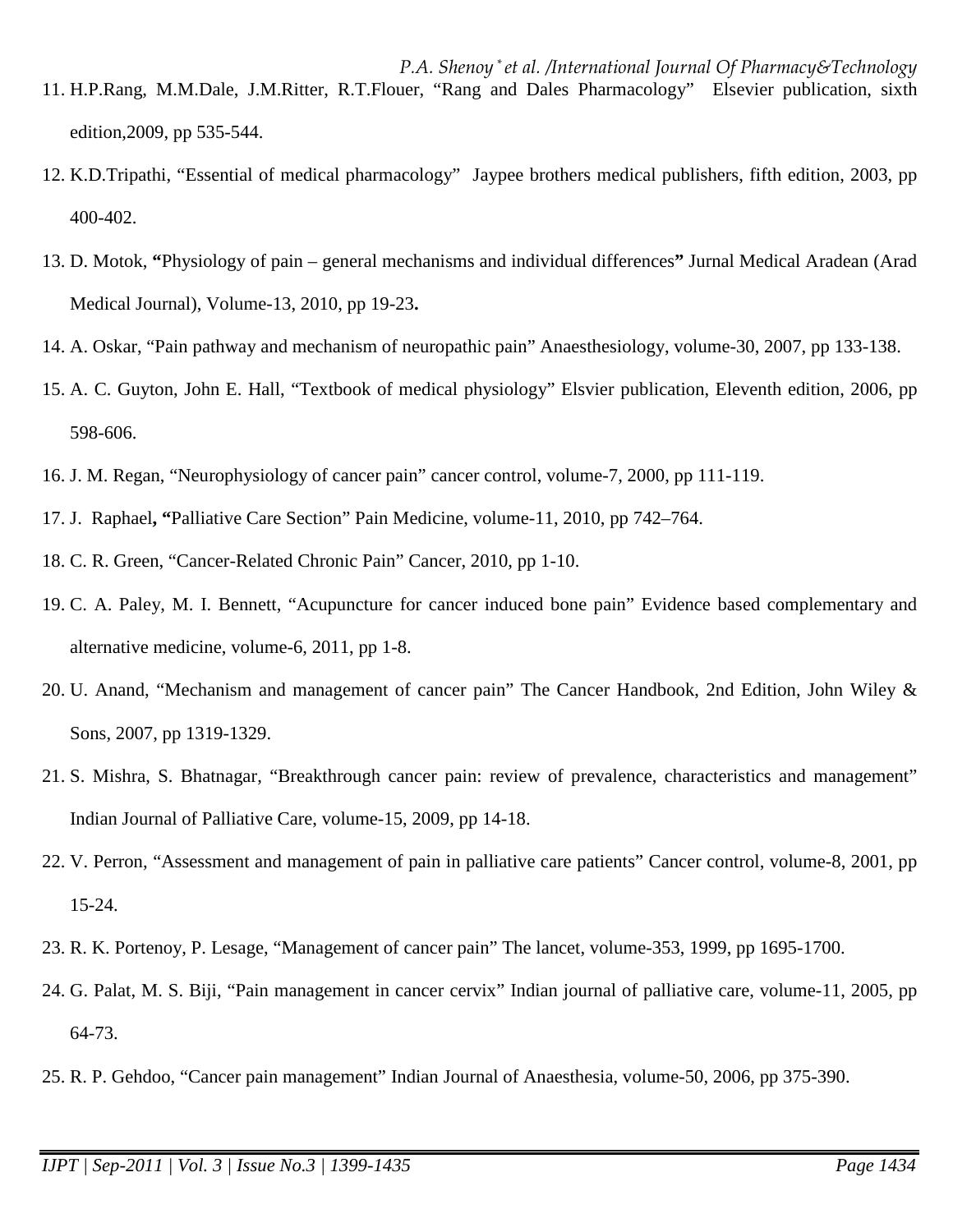- *P.A. Shenoy \* et al. /International Journal Of Pharmacy&Technology* 11. H.P.Rang, M.M.Dale, J.M.Ritter, R.T.Flouer, "Rang and Dales Pharmacology" Elsevier publication, sixth edition,2009, pp 535-544.
- 12. K.D.Tripathi, "Essential of medical pharmacology" Jaypee brothers medical publishers, fifth edition, 2003, pp 400-402.
- 13. D. Motok, **"**Physiology of pain general mechanisms and individual differences**"** Jurnal Medical Aradean (Arad Medical Journal), Volume-13, 2010, pp 19-23**.**
- 14. A. Oskar, "Pain pathway and mechanism of neuropathic pain" Anaesthesiology, volume-30, 2007, pp 133-138.
- 15. A. C. Guyton, John E. Hall, "Textbook of medical physiology" Elsvier publication, Eleventh edition, 2006, pp 598-606.
- 16. J. M. Regan, "Neurophysiology of cancer pain" cancer control, volume-7, 2000, pp 111-119.
- 17. J. Raphael**, "**Palliative Care Section" Pain Medicine, volume-11, 2010, pp 742–764.
- 18. C. R. Green, "Cancer-Related Chronic Pain" Cancer, 2010, pp 1-10.
- 19. C. A. Paley, M. I. Bennett, "Acupuncture for cancer induced bone pain" Evidence based complementary and alternative medicine, volume-6, 2011, pp 1-8.
- 20. U. Anand, "Mechanism and management of cancer pain" The Cancer Handbook, 2nd Edition, John Wiley & Sons, 2007, pp 1319-1329.
- 21. S. Mishra, S. Bhatnagar, "Breakthrough cancer pain: review of prevalence, characteristics and management" Indian Journal of Palliative Care, volume-15, 2009, pp 14-18.
- 22. V. Perron, "Assessment and management of pain in palliative care patients" Cancer control, volume-8, 2001, pp 15-24.
- 23. R. K. Portenoy, P. Lesage, "Management of cancer pain" The lancet, volume-353, 1999, pp 1695-1700.
- 24. G. Palat, M. S. Biji, "Pain management in cancer cervix" Indian journal of palliative care, volume-11, 2005, pp 64-73.
- 25. R. P. Gehdoo, "Cancer pain management" Indian Journal of Anaesthesia, volume-50, 2006, pp 375-390.